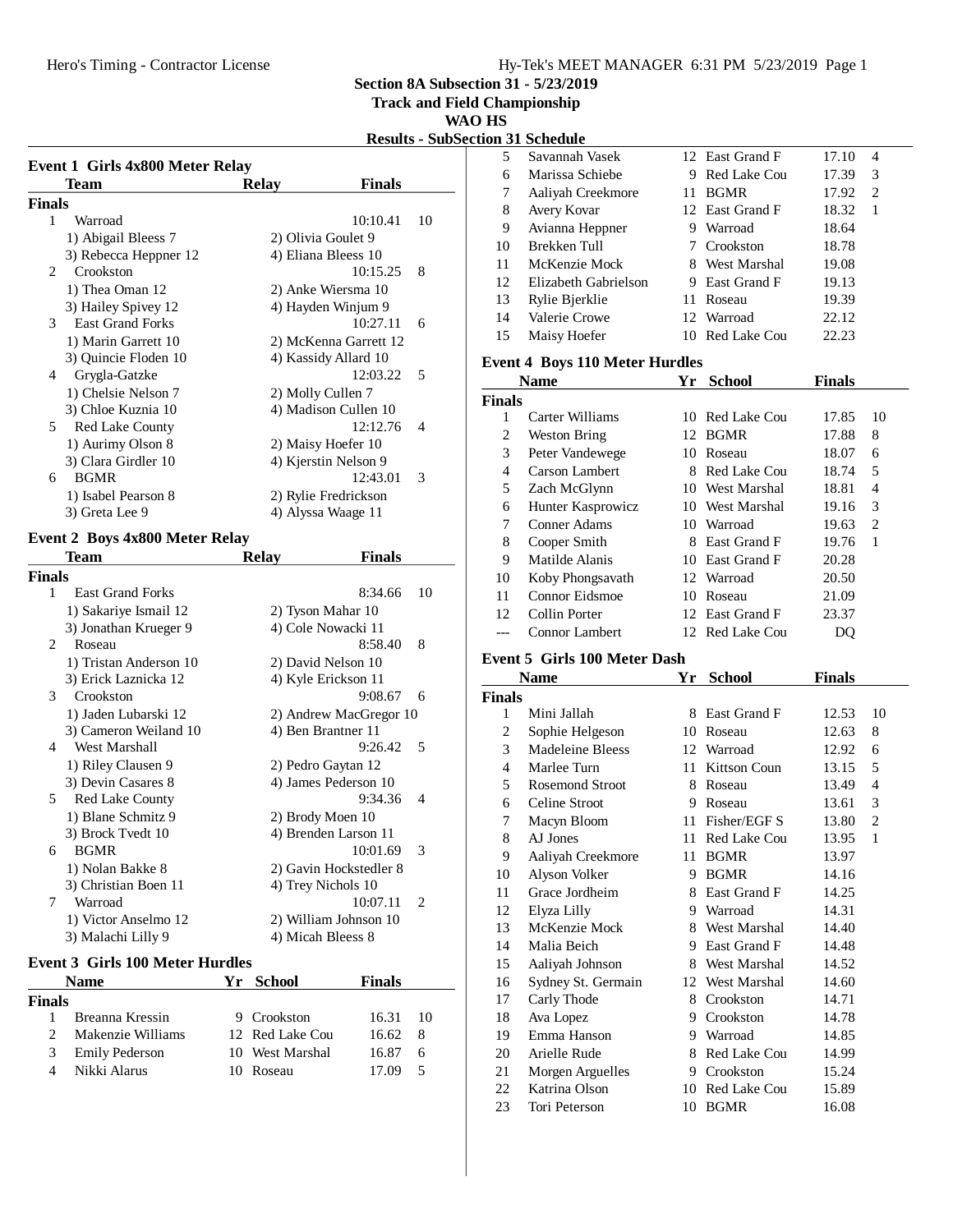### Hy-Tek's MEET MANAGER 6:31 PM 5/23/2019 Page 1

**Section 8A Subsection 31 - 5/23/2019**

**Track and Field Championship**

**WAO HS**

**Results - SubSection 31 Schedule**

| Team                                       | Relay                | <b>Finals</b>         |                |
|--------------------------------------------|----------------------|-----------------------|----------------|
| Finals                                     |                      |                       |                |
| 1<br>Warroad                               |                      | 10:10.41              | 10             |
| 1) Abigail Bleess 7                        | 2) Olivia Goulet 9   |                       |                |
| 3) Rebecca Heppner 12                      | 4) Eliana Bleess 10  |                       |                |
| Crookston<br>$\mathfrak{D}_{\mathfrak{p}}$ |                      | 10:15.25              | 8              |
| 1) Thea Oman 12                            |                      | 2) Anke Wiersma 10    |                |
| 3) Hailey Spivey 12                        |                      | 4) Hayden Winjum 9    |                |
| <b>East Grand Forks</b><br>3               |                      | 10:27.11              | 6              |
| 1) Marin Garrett 10                        |                      | 2) McKenna Garrett 12 |                |
| 3) Quincie Floden 10                       |                      | 4) Kassidy Allard 10  |                |
| Grygla-Gatzke<br>4                         |                      | 12:03.22              | -5             |
| 1) Chelsie Nelson 7                        | 2) Molly Cullen 7    |                       |                |
| 3) Chloe Kuznia 10                         |                      | 4) Madison Cullen 10  |                |
| 5<br><b>Red Lake County</b>                |                      | 12:12.76              | $\overline{4}$ |
| 1) Aurimy Olson 8                          | 2) Maisy Hoefer 10   |                       |                |
| 3) Clara Girdler 10                        | 4) Kjerstin Nelson 9 |                       |                |
| <b>BGMR</b><br>6                           |                      | 12:43.01              | 3              |
| 1) Isabel Pearson 8                        |                      | 2) Rylie Fredrickson  |                |
| 3) Greta Lee 9                             | 4) Alyssa Waage 11   |                       |                |

# **Event 2 Boys 4x800 Meter Relay**

|                               | Team                    | <b>Relay</b> | Finals                 |                             |
|-------------------------------|-------------------------|--------------|------------------------|-----------------------------|
| <b>Finals</b>                 |                         |              |                        |                             |
| 1                             | <b>East Grand Forks</b> |              | 8:34.66                | 10                          |
|                               | 1) Sakariye Ismail 12   |              | 2) Tyson Mahar 10      |                             |
|                               | 3) Jonathan Krueger 9   |              | 4) Cole Nowacki 11     |                             |
| $\mathfrak{D}_{\mathfrak{p}}$ | Roseau                  |              | 8:58.40                | 8                           |
|                               | 1) Tristan Anderson 10  |              | 2) David Nelson 10     |                             |
|                               | 3) Erick Laznicka 12    |              | 4) Kyle Erickson 11    |                             |
| $\mathcal{F}$                 | Crookston               |              | 9:08.67                | 6                           |
|                               | 1) Jaden Lubarski 12    |              | 2) Andrew MacGregor 10 |                             |
|                               | 3) Cameron Weiland 10   |              | 4) Ben Brantner 11     |                             |
| 4                             | West Marshall           |              | 9:26.42                | 5                           |
|                               | 1) Riley Clausen 9      |              | 2) Pedro Gaytan 12     |                             |
|                               | 3) Devin Casares 8      |              | 4) James Pederson 10   |                             |
| 5                             | <b>Red Lake County</b>  |              | 9:34.36                | 4                           |
|                               | 1) Blane Schmitz 9      |              | 2) Brody Moen 10       |                             |
|                               | 3) Brock Tvedt 10       |              | 4) Brenden Larson 11   |                             |
| 6                             | <b>BGMR</b>             |              | 10:01.69               | 3                           |
|                               | 1) Nolan Bakke 8        |              | 2) Gavin Hockstedler 8 |                             |
|                               | 3) Christian Boen 11    |              | 4) Trey Nichols 10     |                             |
| 7                             | Warroad                 |              | 10:07.11               | $\mathcal{D}_{\mathcal{L}}$ |
|                               | 1) Victor Anselmo 12    |              | 2) William Johnson 10  |                             |
|                               | 3) Malachi Lilly 9      |              | 4) Micah Bleess 8      |                             |

### **Event 3 Girls 100 Meter Hurdles**

|               | <b>Name</b>           | Yr. | - School        | <b>Finals</b> |     |
|---------------|-----------------------|-----|-----------------|---------------|-----|
| <b>Finals</b> |                       |     |                 |               |     |
|               | Breanna Kressin       |     | 9 Crookston     | 16.31         | -10 |
|               | Makenzie Williams     |     | 12 Red Lake Cou | 16.62         | 8   |
| 3             | <b>Emily Pederson</b> |     | 10 West Marshal | 16.87         | 6   |
|               | Nikki Alarus          |     | Roseau          | 17.09         |     |

|    | он эт эспечше        |    |                 |             |  |
|----|----------------------|----|-----------------|-------------|--|
| 5  | Savannah Vasek       |    | 12 East Grand F | 17.10<br>4  |  |
| 6  | Marissa Schiebe      | 9  | Red Lake Cou    | 17.39<br>3  |  |
| 7  | Aaliyah Creekmore    | 11 | <b>BGMR</b>     | 17.92<br>2  |  |
| 8  | Avery Kovar          |    | 12 East Grand F | 18.32<br>-1 |  |
| 9  | Avianna Heppner      | 9  | Warroad         | 18.64       |  |
| 10 | Brekken Tull         |    | 7 Crookston     | 18.78       |  |
| 11 | McKenzie Mock        |    | 8 West Marshal  | 19.08       |  |
| 12 | Elizabeth Gabrielson |    | 9 East Grand F  | 19.13       |  |
| 13 | Rylie Bjerklie       | 11 | Roseau          | 19.39       |  |
| 14 | Valerie Crowe        |    | 12 Warroad      | 22.12       |  |
| 15 | Maisy Hoefer         |    | 10 Red Lake Cou | 22.23       |  |

### **Event 4 Boys 110 Meter Hurdles**

|               | <b>Name</b>       | Yr           | <b>School</b>   | <b>Finals</b> |                |
|---------------|-------------------|--------------|-----------------|---------------|----------------|
| <b>Finals</b> |                   |              |                 |               |                |
|               | Carter Williams   | $10^{\circ}$ | Red Lake Cou    | 17.85         | 10             |
| 2             | Weston Bring      | 12.          | BGMR            | 17.88         | 8              |
| 3             | Peter Vandewege   | 10           | Roseau          | 18.07         | 6              |
| 4             | Carson Lambert    | 8            | Red Lake Cou    | 18.74         | 5              |
| 5             | Zach McGlynn      |              | 10 West Marshal | 18.81         | 4              |
| 6             | Hunter Kasprowicz |              | 10 West Marshal | 19.16         | 3              |
| 7             | Conner Adams      | 10.          | Warroad         | 19.63         | $\overline{c}$ |
| 8             | Cooper Smith      | 8            | East Grand F    | 19.76         | 1              |
| 9             | Matilde Alanis    | 10           | East Grand F    | 20.28         |                |
| 10            | Koby Phongsavath  |              | 12 Warroad      | 20.50         |                |
| 11            | Connor Eidsmoe    | 10           | Roseau          | 21.09         |                |
| 12            | Collin Porter     |              | 12 East Grand F | 23.37         |                |
|               | Connor Lambert    |              | 12 Red Lake Cou | DO            |                |

### **Event 5 Girls 100 Meter Dash**

|               | <b>Name</b>        | Yr | School              | Finals |                |
|---------------|--------------------|----|---------------------|--------|----------------|
| <b>Finals</b> |                    |    |                     |        |                |
| 1             | Mini Jallah        | 8  | East Grand F        | 12.53  | 10             |
| 2             | Sophie Helgeson    | 10 | Roseau              | 12.63  | 8              |
| 3             | Madeleine Bleess   |    | 12 Warroad          | 12.92  | 6              |
| 4             | Marlee Turn        | 11 | <b>Kittson Coun</b> | 13.15  | 5              |
| 5             | Rosemond Stroot    | 8  | Roseau              | 13.49  | 4              |
| 6             | Celine Stroot      | 9  | Roseau              | 13.61  | 3              |
| 7             | Macyn Bloom        | 11 | Fisher/EGF S        | 13.80  | $\overline{c}$ |
| 8             | AJ Jones           | 11 | <b>Red Lake Cou</b> | 13.95  | 1              |
| 9             | Aaliyah Creekmore  | 11 | <b>BGMR</b>         | 13.97  |                |
| 10            | Alyson Volker      | 9  | <b>BGMR</b>         | 14.16  |                |
| 11            | Grace Jordheim     |    | 8 East Grand F      | 14.25  |                |
| 12            | Elyza Lilly        |    | 9 Warroad           | 14.31  |                |
| 13            | McKenzie Mock      |    | 8 West Marshal      | 14.40  |                |
| 14            | Malia Beich        | 9  | East Grand F        | 14.48  |                |
| 15            | Aaliyah Johnson    | 8  | <b>West Marshal</b> | 14.52  |                |
| 16            | Sydney St. Germain | 12 | West Marshal        | 14.60  |                |
| 17            | Carly Thode        | 8  | Crookston           | 14.71  |                |
| 18            | Ava Lopez          | 9  | Crookston           | 14.78  |                |
| 19            | Emma Hanson        |    | 9 Warroad           | 14.85  |                |
| 20            | Arielle Rude       | 8  | Red Lake Cou        | 14.99  |                |
| 21            | Morgen Arguelles   | 9  | Crookston           | 15.24  |                |
| 22            | Katrina Olson      | 10 | <b>Red Lake Cou</b> | 15.89  |                |
| 23            | Tori Peterson      | 10 | <b>BGMR</b>         | 16.08  |                |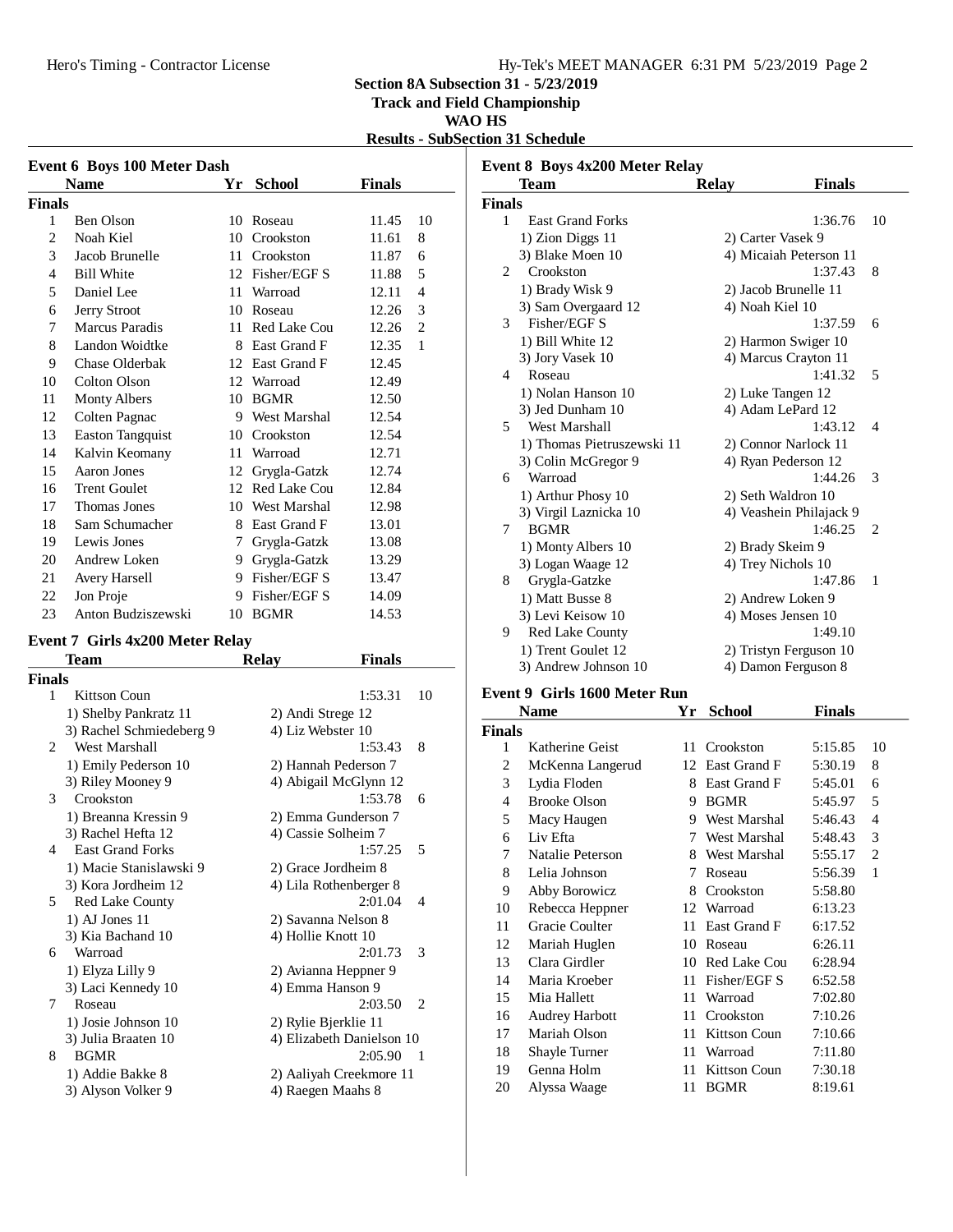**Track and Field Championship**

#### **WAO HS**

**Results - SubSection 31 Schedule**

|        | <b>Event 6 Boys 100 Meter Dash</b> |    |                     |               |                |  |
|--------|------------------------------------|----|---------------------|---------------|----------------|--|
|        | <b>Name</b>                        | Yr | <b>School</b>       | <b>Finals</b> |                |  |
| Finals |                                    |    |                     |               |                |  |
| 1      | Ben Olson                          | 10 | Roseau              | 11.45         | 10             |  |
| 2      | Noah Kiel                          | 10 | Crookston           | 11.61         | 8              |  |
| 3      | Jacob Brunelle                     | 11 | Crookston           | 11.87         | 6              |  |
| 4      | <b>Bill White</b>                  | 12 | Fisher/EGF S        | 11.88         | 5              |  |
| 5      | Daniel Lee                         | 11 | Warroad             | 12.11         | $\overline{4}$ |  |
| 6      | Jerry Stroot                       | 10 | Roseau              | 12.26         | 3              |  |
| 7      | <b>Marcus Paradis</b>              | 11 | <b>Red Lake Cou</b> | 12.26         | $\overline{2}$ |  |
| 8      | Landon Woidtke                     | 8  | East Grand F        | 12.35         | 1              |  |
| 9      | Chase Olderbak                     | 12 | East Grand F        | 12.45         |                |  |
| 10     | <b>Colton Olson</b>                | 12 | Warroad             | 12.49         |                |  |
| 11     | <b>Monty Albers</b>                | 10 | <b>BGMR</b>         | 12.50         |                |  |
| 12     | Colten Pagnac                      | 9  | West Marshal        | 12.54         |                |  |
| 13     | <b>Easton Tangquist</b>            |    | 10 Crookston        | 12.54         |                |  |
| 14     | Kalvin Keomany                     | 11 | Warroad             | 12.71         |                |  |
| 15     | Aaron Jones                        | 12 | Grygla-Gatzk        | 12.74         |                |  |
| 16     | <b>Trent Goulet</b>                | 12 | Red Lake Cou        | 12.84         |                |  |
| 17     | Thomas Jones                       | 10 | West Marshal        | 12.98         |                |  |
| 18     | Sam Schumacher                     | 8  | East Grand F        | 13.01         |                |  |
| 19     | Lewis Jones                        | 7  | Grygla-Gatzk        | 13.08         |                |  |
| 20     | Andrew Loken                       | 9  | Grygla-Gatzk        | 13.29         |                |  |
| 21     | Avery Harsell                      | 9  | Fisher/EGF S        | 13.47         |                |  |
| 22     | Jon Proje                          | 9  | Fisher/EGF S        | 14.09         |                |  |
| 23     | Anton Budziszewski                 | 10 | <b>BGMR</b>         | 14.53         |                |  |

# **Event 7 Girls 4x200 Meter Relay**

|                | Team                     | <b>Relay</b> | Finals                              |
|----------------|--------------------------|--------------|-------------------------------------|
| <b>Finals</b>  |                          |              |                                     |
| 1              | Kittson Coun             |              | 1:53.31<br>10                       |
|                | 1) Shelby Pankratz 11    |              | 2) Andi Strege 12                   |
|                | 3) Rachel Schmiedeberg 9 |              | 4) Liz Webster 10                   |
| $\mathfrak{D}$ | West Marshall            |              | 8<br>1:53.43                        |
|                | 1) Emily Pederson 10     |              | 2) Hannah Pederson 7                |
|                | 3) Riley Mooney 9        |              | 4) Abigail McGlynn 12               |
| 3              | Crookston                |              | 1:53.78<br>6                        |
|                | 1) Breanna Kressin 9     |              | 2) Emma Gunderson 7                 |
|                | 3) Rachel Hefta 12       |              | 4) Cassie Solheim 7                 |
| 4              | <b>East Grand Forks</b>  |              | 1:57.25<br>5                        |
|                | 1) Macie Stanislawski 9  |              | 2) Grace Jordheim 8                 |
|                | 3) Kora Jordheim 12      |              | 4) Lila Rothenberger 8              |
| 5              | Red Lake County          |              | 2:01.04<br>$\overline{\mathcal{A}}$ |
|                | $1)$ AJ Jones $11$       |              | 2) Savanna Nelson 8                 |
|                | 3) Kia Bachand 10        |              | 4) Hollie Knott 10                  |
| 6              | Warroad                  |              | 2:01.73<br>$\mathcal{R}$            |
|                | 1) Elyza Lilly 9         |              | 2) Avianna Heppner 9                |
|                | 3) Laci Kennedy 10       |              | 4) Emma Hanson 9                    |
| 7              | Roseau                   |              | 2:03.50<br>$\mathfrak{D}$           |
|                | 1) Josie Johnson 10      |              | 2) Rylie Bjerklie 11                |
|                | 3) Julia Braaten 10      |              | 4) Elizabeth Danielson 10           |
| 8              | <b>BGMR</b>              |              | 2:05.90<br>$\overline{1}$           |
|                | 1) Addie Bakke 8         |              | 2) Aaliyah Creekmore 11             |
|                | 3) Alyson Volker 9       |              | 4) Raegen Maahs 8                   |
|                |                          |              |                                     |

| Event 8 Boys 4x200 Meter Relay |                            |                         |                             |  |  |
|--------------------------------|----------------------------|-------------------------|-----------------------------|--|--|
|                                | Team                       | <b>Finals</b><br>Relay  |                             |  |  |
| <b>Finals</b>                  |                            |                         |                             |  |  |
| 1                              | <b>East Grand Forks</b>    | 1:36.76                 | 10                          |  |  |
|                                | 1) Zion Diggs 11           | 2) Carter Vasek 9       |                             |  |  |
|                                | 3) Blake Moen 10           | 4) Micaiah Peterson 11  |                             |  |  |
| 2                              | Crookston                  | 1:37.43                 | 8                           |  |  |
|                                | 1) Brady Wisk 9            | 2) Jacob Brunelle 11    |                             |  |  |
|                                | 3) Sam Overgaard 12        | 4) Noah Kiel 10         |                             |  |  |
| 3                              | Fisher/EGF S               | 1:37.59                 | 6                           |  |  |
|                                | 1) Bill White 12           | 2) Harmon Swiger 10     |                             |  |  |
|                                | 3) Jory Vasek 10           | 4) Marcus Crayton 11    |                             |  |  |
| 4                              | Roseau                     | 1:41.32                 | 5                           |  |  |
|                                | 1) Nolan Hanson 10         | 2) Luke Tangen 12       |                             |  |  |
|                                | 3) Jed Dunham 10           | 4) Adam LePard 12       |                             |  |  |
| 5                              | West Marshall              | 1:43.12                 | 4                           |  |  |
|                                | 1) Thomas Pietruszewski 11 | 2) Connor Narlock 11    |                             |  |  |
|                                | 3) Colin McGregor 9        | 4) Ryan Pederson 12     |                             |  |  |
| 6                              | Warroad                    | 1:44.26                 | 3                           |  |  |
|                                | 1) Arthur Phosy 10         | 2) Seth Waldron 10      |                             |  |  |
|                                | 3) Virgil Laznicka 10      | 4) Veashein Philajack 9 |                             |  |  |
| 7                              | <b>BGMR</b>                | 1:46.25                 | $\mathcal{D}_{\mathcal{L}}$ |  |  |
|                                | 1) Monty Albers 10         | 2) Brady Skeim 9        |                             |  |  |
|                                | 3) Logan Waage 12          | 4) Trey Nichols 10      |                             |  |  |
| 8                              | Grygla-Gatzke              | 1:47.86                 | $\mathbf{1}$                |  |  |
|                                | 1) Matt Busse 8            | 2) Andrew Loken 9       |                             |  |  |
|                                | 3) Levi Keisow 10          | 4) Moses Jensen 10      |                             |  |  |
| 9                              | <b>Red Lake County</b>     | 1:49.10                 |                             |  |  |
|                                | 1) Trent Goulet 12         | 2) Tristyn Ferguson 10  |                             |  |  |
|                                | 3) Andrew Johnson 10       | 4) Damon Ferguson 8     |                             |  |  |

### **Event 9 Girls 1600 Meter Run**

|        | Name                  | Yr | <b>School</b> | Finals  |    |
|--------|-----------------------|----|---------------|---------|----|
| Finals |                       |    |               |         |    |
| 1      | Katherine Geist       | 11 | Crookston     | 5:15.85 | 10 |
| 2      | McKenna Langerud      | 12 | East Grand F  | 5:30.19 | 8  |
| 3      | Lydia Floden          | 8  | East Grand F  | 5:45.01 | 6  |
| 4      | <b>Brooke Olson</b>   | 9  | <b>BGMR</b>   | 5:45.97 | 5  |
| 5      | Macy Haugen           | 9  | West Marshal  | 5:46.43 | 4  |
| 6      | Liv Efta              | 7  | West Marshal  | 5:48.43 | 3  |
| 7      | Natalie Peterson      | 8  | West Marshal  | 5:55.17 | 2  |
| 8      | Lelia Johnson         | 7  | Roseau        | 5:56.39 | 1  |
| 9      | Abby Borowicz         | 8  | Crookston     | 5:58.80 |    |
| 10     | Rebecca Heppner       | 12 | Warroad       | 6:13.23 |    |
| 11     | Gracie Coulter        | 11 | East Grand F  | 6:17.52 |    |
| 12     | Mariah Huglen         | 10 | Roseau        | 6:26.11 |    |
| 13     | Clara Girdler         | 10 | Red Lake Cou  | 6:28.94 |    |
| 14     | Maria Kroeber         | 11 | Fisher/EGF S  | 6:52.58 |    |
| 15     | Mia Hallett           | 11 | Warroad       | 7:02.80 |    |
| 16     | <b>Audrey Harbott</b> | 11 | Crookston     | 7:10.26 |    |
| 17     | Mariah Olson          | 11 | Kittson Coun  | 7:10.66 |    |
| 18     | Shayle Turner         | 11 | Warroad       | 7:11.80 |    |
| 19     | Genna Holm            | 11 | Kittson Coun  | 7:30.18 |    |
| 20     | Alyssa Waage          | 11 | <b>BGMR</b>   | 8:19.61 |    |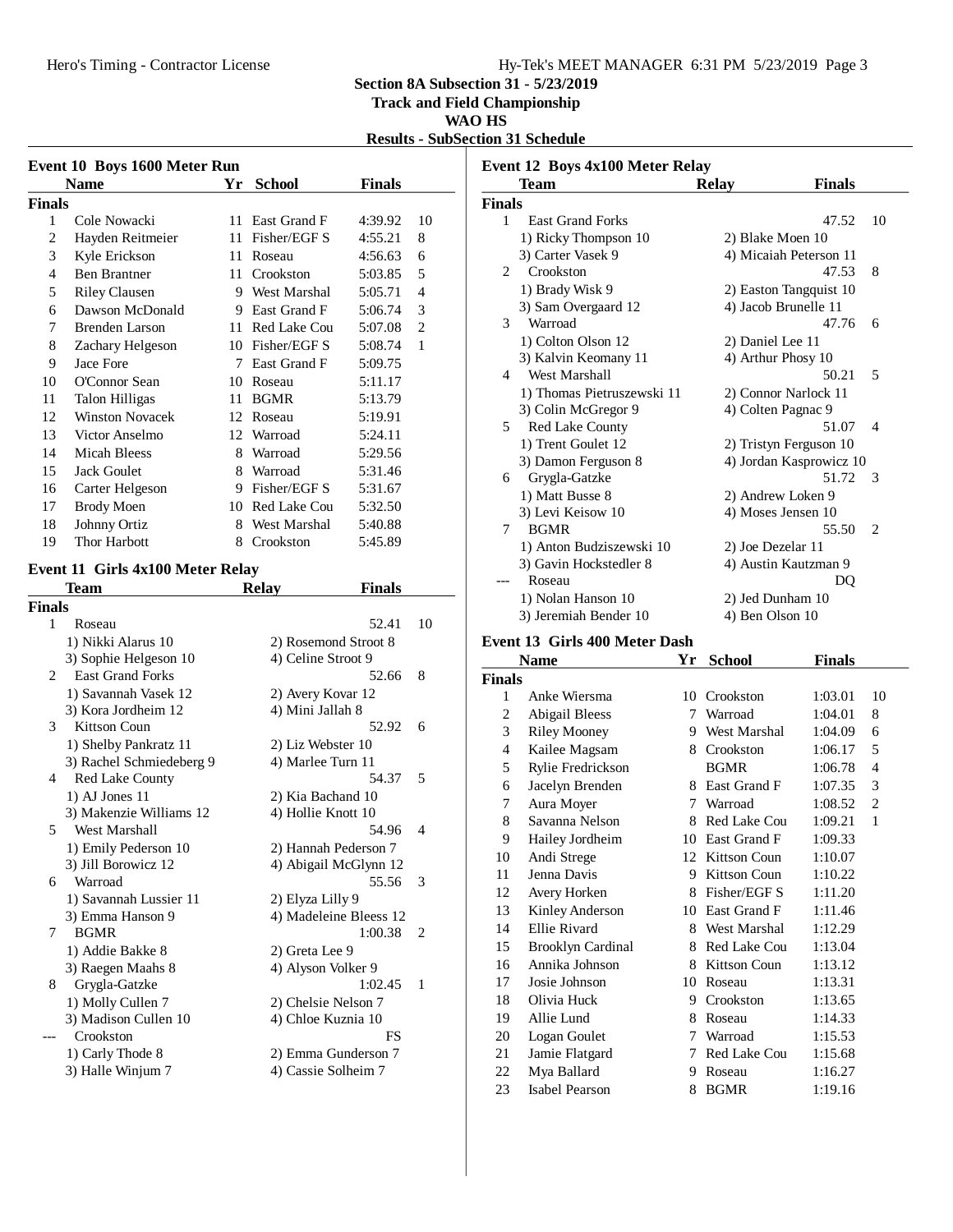**Track and Field Championship**

### **WAO HS**

**Results - SubSection 31 Schedule**

| Event 10 Boys 1600 Meter Run |                        |    |                     |               |                |
|------------------------------|------------------------|----|---------------------|---------------|----------------|
|                              | <b>Name</b>            | Yr | <b>School</b>       | <b>Finals</b> |                |
| <b>Finals</b>                |                        |    |                     |               |                |
| 1                            | Cole Nowacki           | 11 | East Grand F        | 4:39.92       | 10             |
| 2                            | Hayden Reitmeier       | 11 | Fisher/EGF S        | 4:55.21       | 8              |
| 3                            | Kyle Erickson          | 11 | Roseau              | 4:56.63       | 6              |
| 4                            | <b>Ben Brantner</b>    | 11 | Crookston           | 5:03.85       | 5              |
| 5                            | <b>Riley Clausen</b>   | 9  | <b>West Marshal</b> | 5:05.71       | 4              |
| 6                            | Dawson McDonald        | 9  | East Grand F        | 5:06.74       | 3              |
| 7                            | <b>Brenden Larson</b>  | 11 | Red Lake Cou        | 5:07.08       | $\overline{c}$ |
| 8                            | Zachary Helgeson       | 10 | Fisher/EGF S        | 5:08.74       | 1              |
| 9                            | Jace Fore              | 7  | East Grand F        | 5:09.75       |                |
| 10                           | O'Connor Sean          | 10 | Roseau              | 5:11.17       |                |
| 11                           | <b>Talon Hilligas</b>  | 11 | <b>BGMR</b>         | 5:13.79       |                |
| 12                           | <b>Winston Novacek</b> | 12 | Roseau              | 5:19.91       |                |
| 13                           | Victor Anselmo         | 12 | Warroad             | 5:24.11       |                |
| 14                           | <b>Micah Bleess</b>    | 8  | Warroad             | 5:29.56       |                |
| 15                           | <b>Jack Goulet</b>     | 8  | Warroad             | 5:31.46       |                |
| 16                           | Carter Helgeson        | 9  | Fisher/EGF S        | 5:31.67       |                |
| 17                           | <b>Brody Moen</b>      | 10 | Red Lake Cou        | 5:32.50       |                |
| 18                           | Johnny Ortiz           | 8  | West Marshal        | 5:40.88       |                |
| 19                           | Thor Harbott           | 8  | Crookston           | 5:45.89       |                |
|                              |                        |    |                     |               |                |

# **Event 11 Girls 4x100 Meter Relay**

|                | Team                     | <b>Relay</b><br><b>Finals</b> |                |
|----------------|--------------------------|-------------------------------|----------------|
| <b>Finals</b>  |                          |                               |                |
| 1              | Roseau                   | 52.41                         | 10             |
|                | 1) Nikki Alarus 10       | 2) Rosemond Stroot 8          |                |
|                | 3) Sophie Helgeson 10    | 4) Celine Stroot 9            |                |
| $\mathfrak{D}$ | <b>East Grand Forks</b>  | 52.66                         | 8              |
|                | 1) Savannah Vasek 12     | 2) Avery Kovar 12             |                |
|                | 3) Kora Jordheim 12      | 4) Mini Jallah 8              |                |
| 3              | Kittson Coun             | 52.92                         | 6              |
|                | 1) Shelby Pankratz 11    | 2) Liz Webster 10             |                |
|                | 3) Rachel Schmiedeberg 9 | 4) Marlee Turn 11             |                |
| 4              | <b>Red Lake County</b>   | 54.37                         | 5              |
|                | $1)$ AJ Jones $11$       | 2) Kia Bachand 10             |                |
|                | 3) Makenzie Williams 12  | 4) Hollie Knott 10            |                |
| 5              | West Marshall            | 54.96                         | $\overline{4}$ |
|                | 1) Emily Pederson 10     | 2) Hannah Pederson 7          |                |
|                | 3) Jill Borowicz 12      | 4) Abigail McGlynn 12         |                |
| 6              | Warroad                  | 55.56                         | 3              |
|                | 1) Savannah Lussier 11   | 2) Elyza Lilly 9              |                |
|                | 3) Emma Hanson 9         | 4) Madeleine Bleess 12        |                |
| 7              | <b>BGMR</b>              | 1:00.38                       | $\overline{c}$ |
|                | 1) Addie Bakke 8         | 2) Greta Lee 9                |                |
|                | 3) Raegen Maahs 8        | 4) Alyson Volker 9            |                |
| 8              | Grygla-Gatzke            | 1:02.45                       | $\mathbf{1}$   |
|                | 1) Molly Cullen 7        | 2) Chelsie Nelson 7           |                |
|                | 3) Madison Cullen 10     | 4) Chloe Kuznia 10            |                |
|                | Crookston                | FS                            |                |
|                | 1) Carly Thode 8         | 2) Emma Gunderson 7           |                |
|                | 3) Halle Winjum 7        | 4) Cassie Solheim 7           |                |
|                |                          |                               |                |

|                | Team                       | <b>Relay</b> | <b>Finals</b>           |                |
|----------------|----------------------------|--------------|-------------------------|----------------|
| <b>Finals</b>  |                            |              |                         |                |
| 1              | <b>East Grand Forks</b>    |              | 47.52                   | 10             |
|                | 1) Ricky Thompson 10       |              | 2) Blake Moen 10        |                |
|                | 3) Carter Vasek 9          |              | 4) Micaiah Peterson 11  |                |
| $\mathfrak{D}$ | Crookston                  |              | 47.53                   | 8              |
|                | 1) Brady Wisk 9            |              | 2) Easton Tangquist 10  |                |
|                | 3) Sam Overgaard 12        |              | 4) Jacob Brunelle 11    |                |
| 3              | Warroad                    |              | 47.76                   | 6              |
|                | 1) Colton Olson 12         |              | 2) Daniel Lee 11        |                |
|                | 3) Kalvin Keomany 11       |              | 4) Arthur Phosy 10      |                |
| 4              | West Marshall              |              | 50.21                   | 5              |
|                | 1) Thomas Pietruszewski 11 |              | 2) Connor Narlock 11    |                |
|                | 3) Colin McGregor 9        |              | 4) Colten Pagnac 9      |                |
| 5              | <b>Red Lake County</b>     |              | 51.07                   | 4              |
|                | 1) Trent Goulet 12         |              | 2) Tristyn Ferguson 10  |                |
|                | 3) Damon Ferguson 8        |              | 4) Jordan Kasprowicz 10 |                |
| 6              | Grygla-Gatzke              |              | 51.72                   | 3              |
|                | 1) Matt Busse 8            |              | 2) Andrew Loken 9       |                |
|                | 3) Levi Keisow 10          |              | 4) Moses Jensen 10      |                |
| 7              | <b>BGMR</b>                |              | 55.50                   | $\overline{c}$ |
|                | 1) Anton Budziszewski 10   |              | 2) Joe Dezelar 11       |                |
|                | 3) Gavin Hockstedler 8     |              | 4) Austin Kautzman 9    |                |
|                | Roseau                     |              | DO                      |                |
|                | 1) Nolan Hanson 10         |              | 2) Jed Dunham 10        |                |
|                | 3) Jeremiah Bender 10      |              | 4) Ben Olson 10         |                |

# **Event 13 Girls 400 Meter Dash**<br>Name **Vr**

|        | <b>Name</b>              | Yr | <b>School</b>       | <b>Finals</b> |                |
|--------|--------------------------|----|---------------------|---------------|----------------|
| Finals |                          |    |                     |               |                |
| 1      | Anke Wiersma             |    | 10 Crookston        | 1:03.01       | 10             |
| 2      | Abigail Bleess           | 7  | Warroad             | 1:04.01       | 8              |
| 3      | <b>Riley Mooney</b>      |    | 9 West Marshal      | 1:04.09       | 6              |
| 4      | Kailee Magsam            | 8  | Crookston           | 1:06.17       | 5              |
| 5      | Rylie Fredrickson        |    | <b>BGMR</b>         | 1:06.78       | 4              |
| 6      | Jacelyn Brenden          | 8  | East Grand F        | 1:07.35       | 3              |
| 7      | Aura Moyer               | 7  | Warroad             | 1:08.52       | $\overline{c}$ |
| 8      | Savanna Nelson           | 8  | Red Lake Cou        | 1:09.21       | 1              |
| 9      | Hailey Jordheim          | 10 | East Grand F        | 1:09.33       |                |
| 10     | Andi Strege              | 12 | <b>Kittson Coun</b> | 1:10.07       |                |
| 11     | Jenna Davis              | 9  | <b>Kittson Coun</b> | 1:10.22       |                |
| 12     | Avery Horken             | 8  | Fisher/EGF S        | 1:11.20       |                |
| 13     | Kinley Anderson          | 10 | East Grand F        | 1:11.46       |                |
| 14     | Ellie Rivard             | 8  | West Marshal        | 1:12.29       |                |
| 15     | <b>Brooklyn Cardinal</b> | 8  | Red Lake Cou        | 1:13.04       |                |
| 16     | Annika Johnson           | 8  | Kittson Coun        | 1:13.12       |                |
| 17     | Josie Johnson            | 10 | Roseau              | 1:13.31       |                |
| 18     | Olivia Huck              | 9  | Crookston           | 1:13.65       |                |
| 19     | Allie Lund               | 8  | Roseau              | 1:14.33       |                |
| 20     | Logan Goulet             | 7  | Warroad             | 1:15.53       |                |
| 21     | Jamie Flatgard           | 7  | Red Lake Cou        | 1:15.68       |                |
| 22     | Mya Ballard              | 9  | Roseau              | 1:16.27       |                |
| 23     | Isabel Pearson           | 8  | <b>BGMR</b>         | 1:19.16       |                |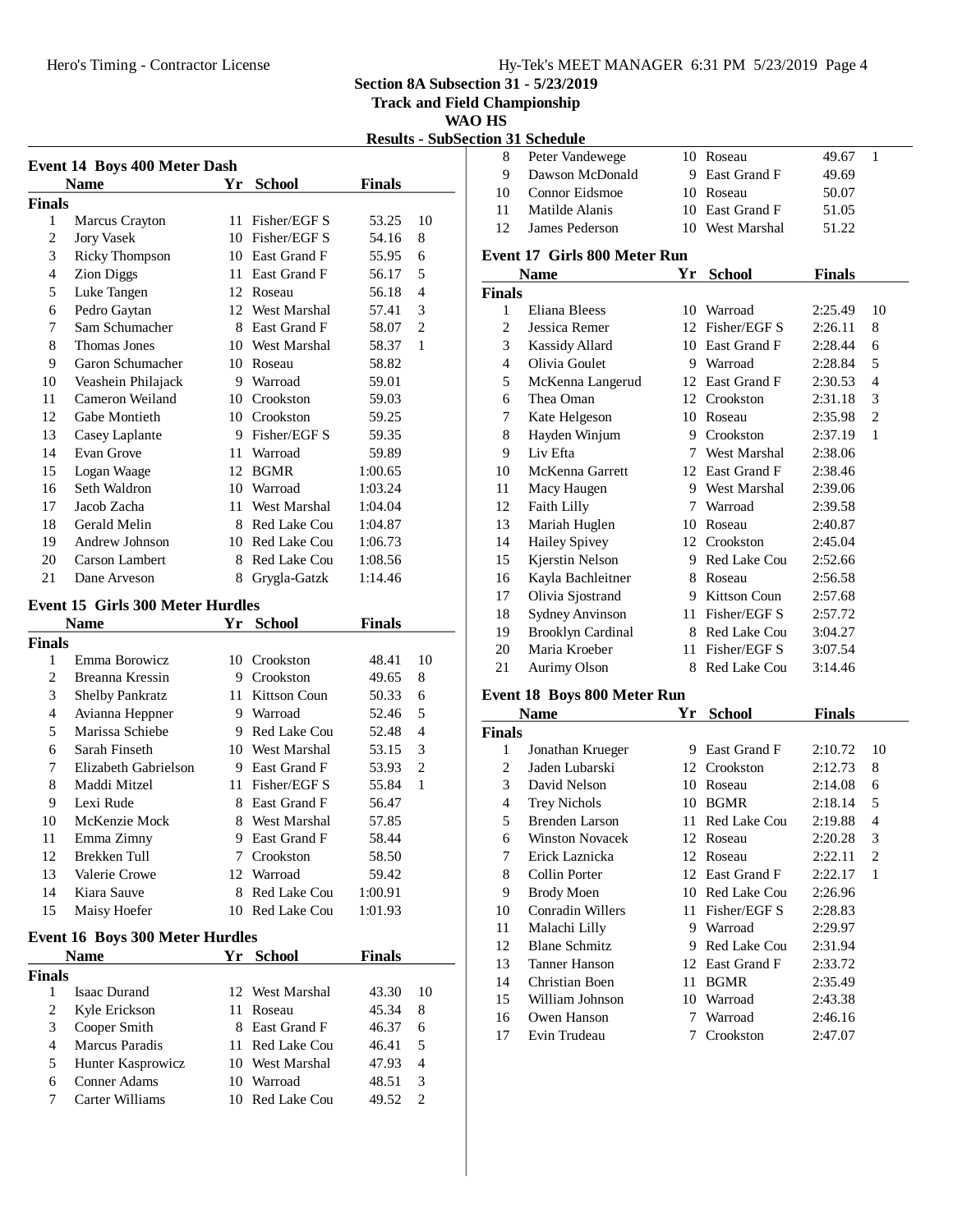#### Hero's Timing - Contractor License Hy-Tek's MEET MANAGER 6:31 PM 5/23/2019 Page 4

**Section 8A Subsection 31 - 5/23/2019**

**Track and Field Championship**

**WAO HS**

|                |                                         |    |                 |               | <b>Results - SubSectio</b> |
|----------------|-----------------------------------------|----|-----------------|---------------|----------------------------|
|                | <b>Event 14 Boys 400 Meter Dash</b>     |    |                 |               |                            |
|                | <b>Name</b>                             | Yr | <b>School</b>   | <b>Finals</b> |                            |
| Finals         |                                         |    |                 |               |                            |
| $\mathbf{1}$   | Marcus Crayton                          | 11 | Fisher/EGF S    | 53.25         | 10                         |
| $\overline{c}$ | <b>Jory Vasek</b>                       |    | 10 Fisher/EGF S | 54.16         | 8                          |
| 3              | <b>Ricky Thompson</b>                   |    | 10 East Grand F | 55.95         | 6                          |
| $\overline{4}$ | <b>Zion Diggs</b>                       |    | 11 East Grand F | 56.17         | 5                          |
| 5              | Luke Tangen                             | 12 | Roseau          | 56.18         | $\overline{4}$             |
| 6              | Pedro Gaytan                            |    | 12 West Marshal | 57.41         | 3                          |
| 7              | Sam Schumacher                          |    | 8 East Grand F  | 58.07         | $\overline{2}$             |
| 8              | Thomas Jones                            |    | 10 West Marshal | 58.37         | 1                          |
| 9              | Garon Schumacher                        |    | 10 Roseau       | 58.82         |                            |
| 10             | Veashein Philajack                      |    | 9 Warroad       | 59.01         |                            |
| 11             | Cameron Weiland                         |    | 10 Crookston    | 59.03         |                            |
| 12             | Gabe Montieth                           |    | 10 Crookston    | 59.25         |                            |
| 13             | Casey Laplante                          |    | 9 Fisher/EGF S  | 59.35         |                            |
| 14             | Evan Grove                              |    | 11 Warroad      | 59.89         |                            |
| 15             | Logan Waage                             | 12 | <b>BGMR</b>     | 1:00.65       |                            |
| 16             | Seth Waldron                            |    | 10 Warroad      | 1:03.24       |                            |
| 17             | Jacob Zacha                             |    | 11 West Marshal | 1:04.04       |                            |
| 18             | Gerald Melin                            |    | 8 Red Lake Cou  | 1:04.87       |                            |
| 19             | Andrew Johnson                          |    | 10 Red Lake Cou | 1:06.73       |                            |
| 20             | Carson Lambert                          |    | 8 Red Lake Cou  | 1:08.56       |                            |
| 21             | Dane Arveson                            |    | 8 Grygla-Gatzk  | 1:14.46       |                            |
|                | <b>Event 15 Girls 300 Meter Hurdles</b> |    |                 |               |                            |
|                | <b>Name</b>                             |    | Yr School       | <b>Finals</b> |                            |
| Finals         |                                         |    |                 |               |                            |
| 1              | Emma Borowicz                           |    | 10 Crookston    | 48.41         | 10                         |
| $\overline{c}$ | Breanna Kressin                         |    | 9 Crookston     | 49.65         | 8                          |
| 3              | Shelby Pankratz                         |    | 11 Kittson Coun | 50.33         | 6                          |
| $\overline{4}$ | Avianna Heppner                         |    | 9 Warroad       | 52.46         | 5                          |
| 5              | Marissa Schiebe                         | 9  | Red Lake Cou    | 52.48         | $\overline{4}$             |

### **Event 16 Boys 300 Meter Hurdles**

|               | <b>Name</b>           | Yr. | <b>School</b>   | Finals |    |
|---------------|-----------------------|-----|-----------------|--------|----|
| <b>Finals</b> |                       |     |                 |        |    |
|               | Isaac Durand          |     | 12 West Marshal | 43.30  | 10 |
| 2             | Kyle Erickson         |     | 11 Roseau       | 45.34  | 8  |
| 3             | Cooper Smith          |     | 8 East Grand F  | 46.37  | 6  |
| 4             | <b>Marcus Paradis</b> |     | 11 Red Lake Cou | 46.41  | 5  |
| 5.            | Hunter Kasprowicz     |     | 10 West Marshal | 47.93  | 4  |
| 6             | <b>Conner Adams</b>   | 10  | Warroad         | 48.51  | 3  |
|               | Carter Williams       |     | Red Lake Cou    | 49.52  |    |

6 Sarah Finseth 10 West Marshal 53.15 3 7 Elizabeth Gabrielson 9 East Grand F 53.93 2 8 Maddi Mitzel 11 Fisher/EGF S 55.84 1 9 Lexi Rude 8 East Grand F 56.47 10 McKenzie Mock 8 West Marshal 57.85 11 Emma Zimny 9 East Grand F 58.44 12 Brekken Tull 7 Crookston 58.50 13 Valerie Crowe 12 Warroad 59.42 14 Kiara Sauve 8 Red Lake Cou 1:00.91 15 Maisy Hoefer 10 Red Lake Cou 1:01.93

|                | <u>tion 31 Schedule</u>             |    |                     |               |                |
|----------------|-------------------------------------|----|---------------------|---------------|----------------|
| 8              | Peter Vandewege                     |    | 10 Roseau           | 49.67         | 1              |
| 9              | Dawson McDonald                     |    | 9 East Grand F      | 49.69         |                |
| 10             | Connor Eidsmoe                      |    | 10 Roseau           | 50.07         |                |
| 11             | Matilde Alanis                      |    | 10 East Grand F     | 51.05         |                |
| 12             | James Pederson                      |    | 10 West Marshal     | 51.22         |                |
|                | <b>Event 17 Girls 800 Meter Run</b> |    |                     |               |                |
|                | <b>Name</b>                         | Yr | <b>School</b>       | <b>Finals</b> |                |
| <b>Finals</b>  |                                     |    |                     |               |                |
| 1              | Eliana Bleess                       |    | 10 Warroad          | 2:25.49       | 10             |
| $\overline{c}$ | Jessica Remer                       |    | 12 Fisher/EGF S     | 2:26.11       | 8              |
| 3              | <b>Kassidy Allard</b>               |    | 10 East Grand F     | 2:28.44       | 6              |
| $\overline{4}$ | Olivia Goulet                       |    | 9 Warroad           | 2:28.84       | 5              |
| 5              | McKenna Langerud                    |    | 12 East Grand F     | 2:30.53       | $\overline{4}$ |
| 6              | Thea Oman                           |    | 12 Crookston        | 2:31.18       | 3              |
| 7              | Kate Helgeson                       |    | 10 Roseau           | 2:35.98       | $\overline{c}$ |
| 8              | Hayden Winjum                       | 9. | Crookston           | 2:37.19       | $\mathbf{1}$   |
| 9              | Liv Efta                            | 7  | West Marshal        | 2:38.06       |                |
| 10             | McKenna Garrett                     |    | 12 East Grand F     | 2:38.46       |                |
| 11             | Macy Haugen                         |    | 9 West Marshal      | 2:39.06       |                |
| 12             | Faith Lilly                         | 7  | Warroad             | 2:39.58       |                |
| 13             | Mariah Huglen                       |    | 10 Roseau           | 2:40.87       |                |
| 14             | <b>Hailey Spivey</b>                | 12 | Crookston           | 2:45.04       |                |
| 15             | Kjerstin Nelson                     |    | 9 Red Lake Cou      | 2:52.66       |                |
| 16             | Kayla Bachleitner                   |    | 8 Roseau            | 2:56.58       |                |
| 17             | Olivia Sjostrand                    |    | 9 Kittson Coun      | 2:57.68       |                |
| 18             | <b>Sydney Anvinson</b>              |    | 11 Fisher/EGF S     | 2:57.72       |                |
| 19             | <b>Brooklyn Cardinal</b>            |    | 8 Red Lake Cou      | 3:04.27       |                |
| 20             | Maria Kroeber                       | 11 | Fisher/EGF S        | 3:07.54       |                |
| 21             | <b>Aurimy Olson</b>                 | 8  | <b>Red Lake Cou</b> | 3:14.46       |                |
|                | Event 18 Boys 800 Meter Run         |    |                     |               |                |
|                | <b>Name</b>                         | Yr | <b>School</b>       | <b>Finals</b> |                |
| <b>Finals</b>  |                                     |    |                     |               |                |
| 1              | Jonathan Krueger                    |    | 9 East Grand F      | 2:10.72       | 10             |

| <b>Finals</b>  |                        |    |              |         |                |  |
|----------------|------------------------|----|--------------|---------|----------------|--|
| 1              | Jonathan Krueger       | 9  | East Grand F | 2:10.72 | 10             |  |
| $\overline{c}$ | Jaden Lubarski         |    | 12 Crookston | 2:12.73 | 8              |  |
| 3              | David Nelson           | 10 | Roseau       | 2:14.08 | 6              |  |
| 4              | <b>Trey Nichols</b>    | 10 | <b>BGMR</b>  | 2:18.14 | 5              |  |
| 5              | Brenden Larson         | 11 | Red Lake Cou | 2:19.88 | 4              |  |
| 6              | <b>Winston Novacek</b> | 12 | Roseau       | 2:20.28 | 3              |  |
| 7              | Erick Laznicka         | 12 | Roseau       | 2:22.11 | $\overline{c}$ |  |
| 8              | Collin Porter          | 12 | East Grand F | 2:22.17 | 1              |  |
| 9              | <b>Brody Moen</b>      | 10 | Red Lake Cou | 2:26.96 |                |  |
| 10             | Conradin Willers       | 11 | Fisher/EGF S | 2:28.83 |                |  |
| 11             | Malachi Lilly          | 9  | Warroad      | 2:29.97 |                |  |
| 12             | <b>Blane Schmitz</b>   | 9  | Red Lake Cou | 2:31.94 |                |  |
| 13             | Tanner Hanson          | 12 | East Grand F | 2:33.72 |                |  |
| 14             | Christian Boen         | 11 | <b>BGMR</b>  | 2:35.49 |                |  |
| 15             | William Johnson        | 10 | Warroad      | 2:43.38 |                |  |
| 16             | Owen Hanson            | 7  | Warroad      | 2:46.16 |                |  |
| 17             | Evin Trudeau           | 7  | Crookston    | 2:47.07 |                |  |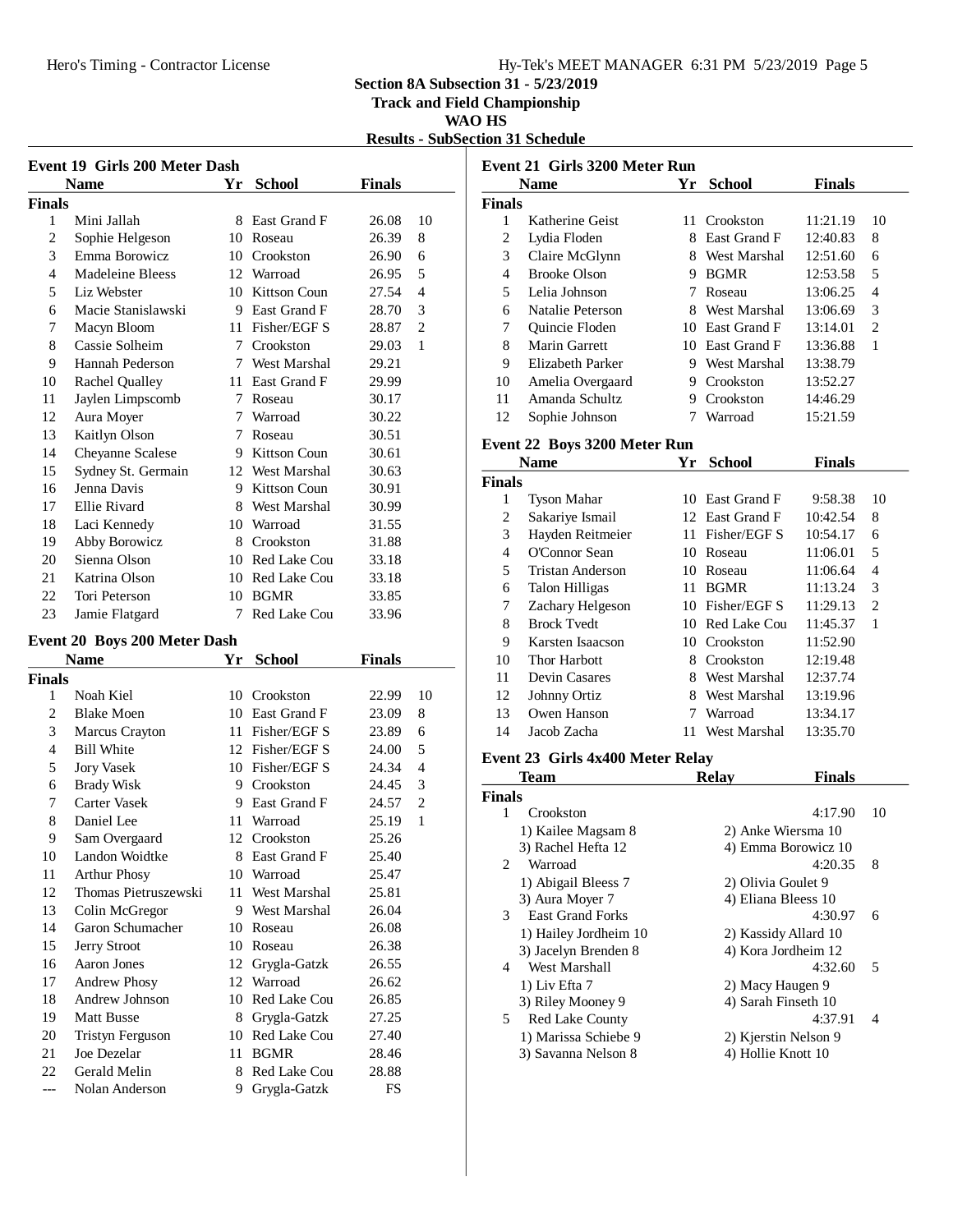### Hero's Timing - Contractor License Hy-Tek's MEET MANAGER 6:31 PM 5/23/2019 Page 5

**Section 8A Subsection 31 - 5/23/2019**

**Track and Field Championship**

### **WAO HS**

**Results - SubSection 31 Schedule**

|        | Event 19 Girls 200 Meter Dash |    |                     |               |                |
|--------|-------------------------------|----|---------------------|---------------|----------------|
|        | Name                          | Yr | <b>School</b>       | <b>Finals</b> |                |
| Finals |                               |    |                     |               |                |
| 1      | Mini Jallah                   | 8  | East Grand F        | 26.08         | 10             |
| 2      | Sophie Helgeson               | 10 | Roseau              | 26.39         | 8              |
| 3      | Emma Borowicz                 | 10 | Crookston           | 26.90         | 6              |
| 4      | Madeleine Bleess              | 12 | Warroad             | 26.95         | 5              |
| 5      | Liz Webster                   | 10 | Kittson Coun        | 27.54         | $\overline{4}$ |
| 6      | Macie Stanislawski            | 9  | East Grand F        | 28.70         | 3              |
| 7      | Macyn Bloom                   | 11 | Fisher/EGF S        | 28.87         | $\overline{2}$ |
| 8      | Cassie Solheim                | 7  | Crookston           | 29.03         | 1              |
| 9      | Hannah Pederson               | 7  | West Marshal        | 29.21         |                |
| 10     | Rachel Qualley                | 11 | East Grand F        | 29.99         |                |
| 11     | Jaylen Limpscomb              | 7  | Roseau              | 30.17         |                |
| 12     | Aura Moyer                    | 7  | Warroad             | 30.22         |                |
| 13     | Kaitlyn Olson                 | 7  | Roseau              | 30.51         |                |
| 14     | <b>Cheyanne Scalese</b>       | 9  | Kittson Coun        | 30.61         |                |
| 15     | Sydney St. Germain            |    | 12 West Marshal     | 30.63         |                |
| 16     | Jenna Davis                   | 9  | Kittson Coun        | 30.91         |                |
| 17     | Ellie Rivard                  | 8  | West Marshal        | 30.99         |                |
| 18     | Laci Kennedy                  | 10 | Warroad             | 31.55         |                |
| 19     | Abby Borowicz                 | 8  | Crookston           | 31.88         |                |
| 20     | Sienna Olson                  | 10 | Red Lake Cou        | 33.18         |                |
| 21     | Katrina Olson                 | 10 | Red Lake Cou        | 33.18         |                |
| 22     | Tori Peterson                 | 10 | <b>BGMR</b>         | 33.85         |                |
| 23     | Jamie Flatgard                | 7  | <b>Red Lake Cou</b> | 33.96         |                |
|        |                               |    |                     |               |                |

### **Event 20 Boys 200 Meter Dash**

|        | <b>Name</b>          |    | <b>School</b>       | Finals |                |  |
|--------|----------------------|----|---------------------|--------|----------------|--|
| Finals |                      |    |                     |        |                |  |
| 1      | Noah Kiel            | 10 | Crookston           | 22.99  | 10             |  |
| 2      | <b>Blake Moen</b>    | 10 | East Grand F        | 23.09  | 8              |  |
| 3      | Marcus Crayton       | 11 | Fisher/EGF S        | 23.89  | 6              |  |
| 4      | <b>Bill White</b>    | 12 | Fisher/EGF S        | 24.00  | 5              |  |
| 5      | <b>Jory Vasek</b>    | 10 | Fisher/EGF S        | 24.34  | $\overline{4}$ |  |
| 6      | <b>Brady Wisk</b>    | 9  | Crookston           | 24.45  | 3              |  |
| 7      | Carter Vasek         | 9  | East Grand F        | 24.57  | $\overline{2}$ |  |
| 8      | Daniel Lee           | 11 | Warroad             | 25.19  | $\mathbf{1}$   |  |
| 9      | Sam Overgaard        | 12 | Crookston           | 25.26  |                |  |
| 10     | Landon Woidtke       | 8  | East Grand F        | 25.40  |                |  |
| 11     | <b>Arthur Phosy</b>  | 10 | Warroad             | 25.47  |                |  |
| 12     | Thomas Pietruszewski | 11 | West Marshal        | 25.81  |                |  |
| 13     | Colin McGregor       | 9  | <b>West Marshal</b> | 26.04  |                |  |
| 14     | Garon Schumacher     | 10 | Roseau              | 26.08  |                |  |
| 15     | <b>Jerry Stroot</b>  | 10 | Roseau              | 26.38  |                |  |
| 16     | Aaron Jones          | 12 | Grygla-Gatzk        | 26.55  |                |  |
| 17     | <b>Andrew Phosy</b>  |    | 12 Warroad          | 26.62  |                |  |
| 18     | Andrew Johnson       | 10 | Red Lake Cou        | 26.85  |                |  |
| 19     | <b>Matt Busse</b>    | 8  | Grygla-Gatzk        | 27.25  |                |  |
| 20     | Tristyn Ferguson     | 10 | Red Lake Cou        | 27.40  |                |  |
| 21     | Joe Dezelar          | 11 | <b>BGMR</b>         | 28.46  |                |  |
| 22     | Gerald Melin         | 8  | <b>Red Lake Cou</b> | 28.88  |                |  |
| ---    | Nolan Anderson       | 9  | Grygla-Gatzk        | FS     |                |  |

| Event 21 Girls 3200 Meter Run                       |               |              |                 |                |  |  |  |  |
|-----------------------------------------------------|---------------|--------------|-----------------|----------------|--|--|--|--|
| <b>School</b><br><b>Finals</b><br>Үr<br><b>Name</b> |               |              |                 |                |  |  |  |  |
|                                                     |               |              |                 |                |  |  |  |  |
| Katherine Geist                                     | 11            | Crookston    | 11:21.19        | 10             |  |  |  |  |
| Lydia Floden                                        | 8             | East Grand F | 12:40.83        | 8              |  |  |  |  |
| Claire McGlynn                                      | 8.            | West Marshal | 12:51.60        | 6              |  |  |  |  |
| <b>Brooke Olson</b>                                 | 9             | <b>BGMR</b>  | 12:53.58        | 5              |  |  |  |  |
| Lelia Johnson                                       | 7             | Roseau       | 13:06.25        | 4              |  |  |  |  |
| Natalie Peterson                                    | 8             | West Marshal | 13:06.69        | 3              |  |  |  |  |
| Quincie Floden                                      | 1()           | East Grand F | 13:14.01        | $\mathfrak{D}$ |  |  |  |  |
| Marin Garrett                                       |               |              | 13:36.88        | 1              |  |  |  |  |
| Elizabeth Parker                                    | 9             | West Marshal | 13:38.79        |                |  |  |  |  |
| Amelia Overgaard                                    | 9             | Crookston    | 13:52.27        |                |  |  |  |  |
| Amanda Schultz                                      | 9             | Crookston    | 14:46.29        |                |  |  |  |  |
| Sophie Johnson                                      |               | Warroad      | 15:21.59        |                |  |  |  |  |
|                                                     | <b>Finals</b> |              | 10 East Grand F |                |  |  |  |  |

### **Event 22 Boys 3200 Meter Run**

|               | Name               | Yr  | <b>School</b>   | <b>Finals</b> |                |
|---------------|--------------------|-----|-----------------|---------------|----------------|
| <b>Finals</b> |                    |     |                 |               |                |
| 1             | <b>Tyson Mahar</b> | 10  | East Grand F    | 9:58.38       | 10             |
| 2             | Sakariye Ismail    |     | 12 East Grand F | 10:42.54      | 8              |
| 3             | Hayden Reitmeier   |     | 11 Fisher/EGF S | 10:54.17      | 6              |
| 4             | O'Connor Sean      | 10. | Roseau          | 11:06.01      | 5              |
| 5             | Tristan Anderson   | 10  | Roseau          | 11:06.64      | 4              |
| 6             | Talon Hilligas     | 11  | <b>BGMR</b>     | 11:13.24      | 3              |
| 7             | Zachary Helgeson   |     | 10 Fisher/EGF S | 11:29.13      | $\overline{c}$ |
| 8             | <b>Brock Tyedt</b> |     | 10 Red Lake Cou | 11:45.37      | 1              |
| 9             | Karsten Isaacson   |     | 10 Crookston    | 11:52.90      |                |
| 10            | Thor Harbott       | 8   | Crookston       | 12:19.48      |                |
| 11            | Devin Casares      | 8   | West Marshal    | 12:37.74      |                |
| 12            | Johnny Ortiz       | 8   | West Marshal    | 13:19.96      |                |
| 13            | Owen Hanson        | 7   | Warroad         | 13:34.17      |                |
| 14            | Jacob Zacha        | 11  | West Marshal    | 13:35.70      |                |

### **Event 23 Girls 4x400 Meter Relay**

|                | Team                    | <b>Relav</b>        | <b>Finals</b>        |    |
|----------------|-------------------------|---------------------|----------------------|----|
| Finals         |                         |                     |                      |    |
| 1              | Crookston               |                     | 4:17.90              | 10 |
|                | 1) Kailee Magsam 8      |                     | 2) Anke Wiersma 10   |    |
|                | 3) Rachel Hefta 12      |                     | 4) Emma Borowicz 10  |    |
| $\mathfrak{D}$ | Warroad                 |                     | 4:20.35              | 8  |
|                | 1) Abigail Bleess 7     | 2) Olivia Goulet 9  |                      |    |
|                | 3) Aura Moyer 7         | 4) Eliana Bleess 10 |                      |    |
| 3              | <b>East Grand Forks</b> |                     | 4:30.97              | 6  |
|                | 1) Hailey Jordheim 10   |                     | 2) Kassidy Allard 10 |    |
|                | 3) Jacelyn Brenden 8    |                     | 4) Kora Jordheim 12  |    |
| 4              | West Marshall           |                     | 4:32.60              | 5  |
|                | 1) Liv Efta 7           | 2) Macy Haugen 9    |                      |    |
|                | 3) Riley Mooney 9       | 4) Sarah Finseth 10 |                      |    |
| 5              | <b>Red Lake County</b>  |                     | 4:37.91              | 4  |
|                | 1) Marissa Schiebe 9    |                     | 2) Kjerstin Nelson 9 |    |
|                | 3) Savanna Nelson 8     | 4) Hollie Knott 10  |                      |    |
|                |                         |                     |                      |    |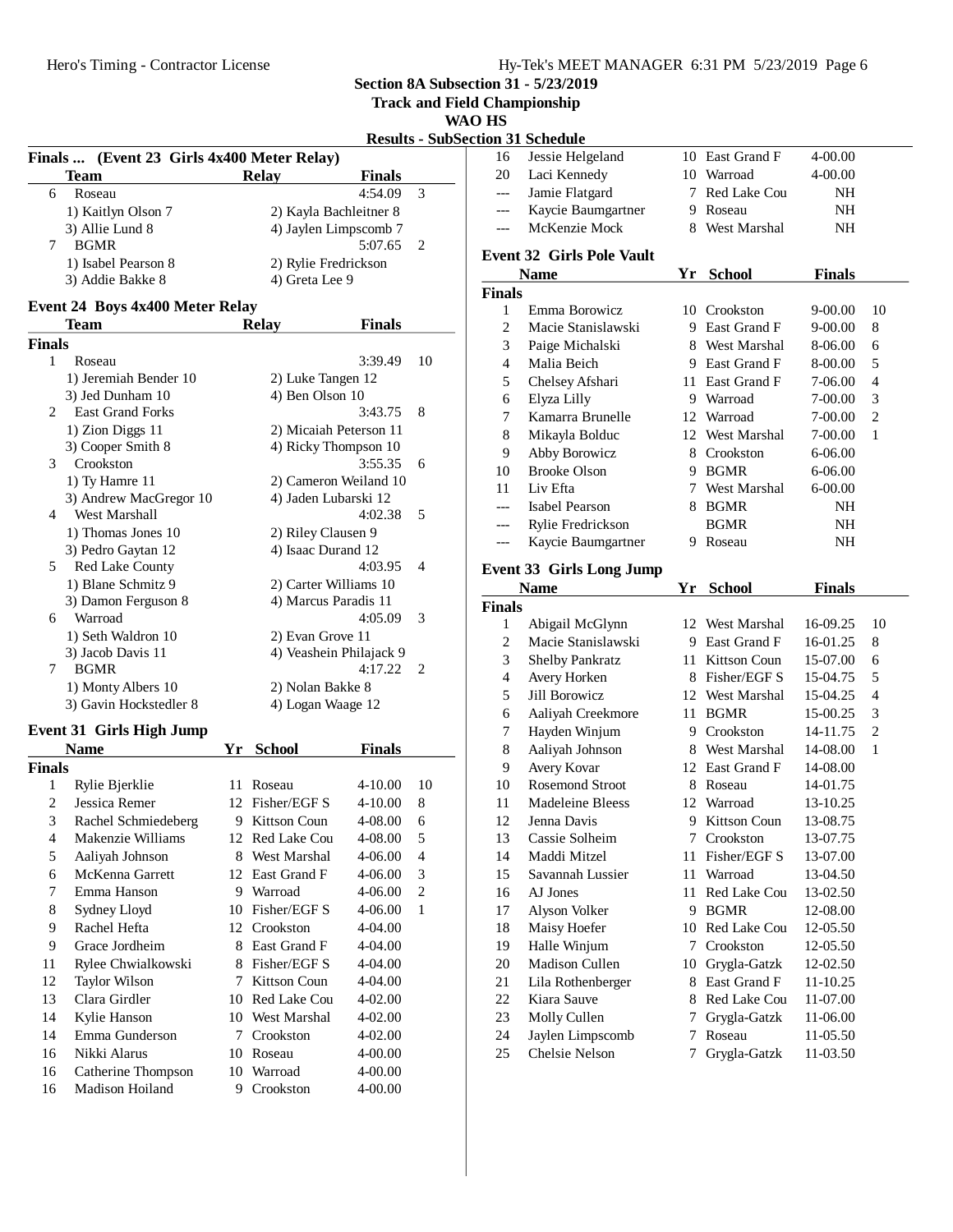**Track and Field Championship**

### **WAO HS**

|                |                                              |                         |               |                | <b>Results - SubSection 31 Schedule</b> |                                  |                 |               |
|----------------|----------------------------------------------|-------------------------|---------------|----------------|-----------------------------------------|----------------------------------|-----------------|---------------|
|                | Finals  (Event 23 Girls 4x400 Meter Relay)   |                         |               |                | 16                                      | Jessie Helgeland                 | 10 East Grand F | $4 - 00.00$   |
|                | Team                                         | <b>Relay</b>            | <b>Finals</b> |                | 20                                      | Laci Kennedy                     | 10 Warroad      | 4-00.00       |
| 6              | Roseau                                       |                         | 4:54.09       | 3              | $---$                                   | Jamie Flatgard                   | 7 Red Lake Cou  | <b>NH</b>     |
|                | 1) Kaitlyn Olson 7                           | 2) Kayla Bachleitner 8  |               |                | ---                                     | Kaycie Baumgartner               | 9 Roseau        | <b>NH</b>     |
|                | 3) Allie Lund 8                              | 4) Jaylen Limpscomb 7   |               |                | $---$                                   | McKenzie Mock                    | 8 West Marshal  | NH            |
| 7              | <b>BGMR</b>                                  |                         | 5:07.65       | 2              |                                         | <b>Event 32 Girls Pole Vault</b> |                 |               |
|                | 1) Isabel Pearson 8                          | 2) Rylie Fredrickson    |               |                |                                         | <b>Name</b>                      | Yr School       | <b>Finals</b> |
|                | 3) Addie Bakke 8                             | 4) Greta Lee 9          |               |                | <b>Finals</b>                           |                                  |                 |               |
|                | <b>Event 24 Boys 4x400 Meter Relay</b>       |                         |               |                | $\mathbf{1}$                            | Emma Borowicz                    | 10 Crookston    | $9 - 00.00$   |
|                | <b>Team</b>                                  | <b>Relay</b>            | <b>Finals</b> |                | $\overline{2}$                          | Macie Stanislawski               | 9 East Grand F  | $9 - 00.00$   |
| <b>Finals</b>  |                                              |                         |               |                | 3                                       | Paige Michalski                  | 8 West Marshal  | 8-06.00       |
| $\mathbf{1}$   | Roseau                                       |                         | 3:39.49       | 10             | $\overline{4}$                          | Malia Beich                      | 9 East Grand F  | 8-00.00       |
|                | 1) Jeremiah Bender 10                        | 2) Luke Tangen 12       |               |                | 5                                       | Chelsey Afshari                  | 11 East Grand F | 7-06.00       |
|                | 3) Jed Dunham 10                             | 4) Ben Olson 10         |               |                | 6                                       | Elyza Lilly                      | 9 Warroad       | 7-00.00       |
| 2              | <b>East Grand Forks</b>                      |                         | 3:43.75       | 8              | 7                                       | Kamarra Brunelle                 | 12 Warroad      | 7-00.00       |
|                | 1) Zion Diggs 11                             | 2) Micaiah Peterson 11  |               |                | 8                                       | Mikayla Bolduc                   | 12 West Marshal | $7 - 00.00$   |
|                | 3) Cooper Smith 8                            | 4) Ricky Thompson 10    |               |                | 9                                       | Abby Borowicz                    | 8 Crookston     | $6 - 06.00$   |
| 3              | Crookston                                    |                         | 3:55.35       | 6              | 10                                      | <b>Brooke Olson</b>              | 9 BGMR          | 6-06.00       |
|                | 1) Ty Hamre 11                               | 2) Cameron Weiland 10   |               |                | 11                                      | Liv Efta                         | 7 West Marshal  | $6 - 00.00$   |
|                | 3) Andrew MacGregor 10                       | 4) Jaden Lubarski 12    |               |                | $---$                                   | <b>Isabel Pearson</b>            | 8 BGMR          | <b>NH</b>     |
| 4              | West Marshall                                |                         | 4:02.38       | 5              | ---                                     | Rylie Fredrickson                | <b>BGMR</b>     | <b>NH</b>     |
|                | 1) Thomas Jones 10                           | 2) Riley Clausen 9      |               |                | $---$                                   | Kaycie Baumgartner               | 9 Roseau        | <b>NH</b>     |
|                | 3) Pedro Gaytan 12                           | 4) Isaac Durand 12      |               |                |                                         |                                  |                 |               |
| 5              | Red Lake County                              |                         | 4:03.95       | $\overline{4}$ |                                         | <b>Event 33 Girls Long Jump</b>  |                 |               |
|                | 1) Blane Schmitz 9                           | 2) Carter Williams 10   |               |                |                                         | <b>Name</b>                      | Yr School       | <b>Finals</b> |
|                | 3) Damon Ferguson 8                          | 4) Marcus Paradis 11    |               |                | <b>Finals</b>                           |                                  |                 |               |
| 6              | Warroad                                      |                         | 4:05.09       | 3              | 1                                       | Abigail McGlynn                  | 12 West Marshal | 16-09.25      |
|                | 1) Seth Waldron 10                           | 2) Evan Grove 11        |               |                | $\overline{c}$                          | Macie Stanislawski               | 9 East Grand F  | 16-01.25      |
|                | 3) Jacob Davis 11                            | 4) Veashein Philajack 9 |               |                | 3                                       | Shelby Pankratz                  | 11 Kittson Coun | 15-07.00      |
| 7              | <b>BGMR</b>                                  |                         | 4:17.22       | 2              | $\overline{4}$                          | Avery Horken                     | 8 Fisher/EGF S  | 15-04.75      |
|                | 1) Monty Albers 10<br>3) Gavin Hockstedler 8 | 2) Nolan Bakke 8        |               |                | 5                                       | Jill Borowicz                    | 12 West Marshal | 15-04.25      |
|                |                                              | 4) Logan Waage 12       |               |                | 6                                       | Aaliyah Creekmore                | 11 BGMR         | 15-00.25      |
|                | <b>Event 31 Girls High Jump</b>              |                         |               |                | 7                                       | Hayden Winjum                    | 9 Crookston     | 14-11.75      |
|                | <b>Name</b>                                  | Yr School               | <b>Finals</b> |                | 8                                       | Aaliyah Johnson                  | 8 West Marshal  | 14-08.00      |
| <b>Finals</b>  |                                              |                         |               |                | 9                                       | Avery Kovar                      | 12 East Grand F | 14-08.00      |
| 1              | Rylie Bjerklie                               | 11 Roseau               | $4 - 10.00$   | 10             | 10                                      | <b>Rosemond Stroot</b>           | 8 Roseau        | 14-01.75      |
| $\overline{c}$ | Jessica Remer                                | 12 Fisher/EGF S         | 4-10.00       | 8              | 11                                      | Madeleine Bleess                 | 12 Warroad      | 13-10.25      |
| 3              | Rachel Schmiedeberg                          | 9 Kittson Coun          | 4-08.00       | 6              | 12                                      | Jenna Davis                      | 9 Kittson Coun  | 13-08.75      |
| $\overline{4}$ | Makenzie Williams                            | 12 Red Lake Cou         | 4-08.00       | 5              | 13                                      | Cassie Solheim                   | 7 Crookston     | 13-07.75      |
| 5              | Aaliyah Johnson                              | 8 West Marshal          | $4 - 06.00$   | $\overline{4}$ | 14                                      | Maddi Mitzel                     | 11 Fisher/EGF S | 13-07.00      |
| 6              | McKenna Garrett                              | 12 East Grand F         | 4-06.00       | 3              | 15                                      | Savannah Lussier                 | 11 Warroad      | 13-04.50      |
| 7              | Emma Hanson                                  | 9 Warroad               | 4-06.00       | $\overline{2}$ | 16                                      | AJ Jones                         | 11 Red Lake Cou | 13-02.50      |

8 Sydney Lloyd 10 Fisher/EGF S 4-06.00 1 9 Rachel Hefta 12 Crookston 4-04.00 9 Grace Jordheim 8 East Grand F 4-04.00 11 Rylee Chwialkowski 8 Fisher/EGF S 4-04.00 12 Taylor Wilson 7 Kittson Coun 4-04.00 13 Clara Girdler 10 Red Lake Cou 4-02.00 14 Kylie Hanson 10 West Marshal 4-02.00 14 Emma Gunderson 7 Crookston 4-02.00 16 Nikki Alarus 10 Roseau 4-00.00 16 Catherine Thompson 10 Warroad 4-00.00 16 Madison Hoiland 9 Crookston 4-00.00

| ---            | Jamie Flatgard                   | 7   | Red Lake Cou    | NH            |                          |
|----------------|----------------------------------|-----|-----------------|---------------|--------------------------|
| ---            | Kaycie Baumgartner               | 9.  | Roseau          | NΗ            |                          |
| ---            | McKenzie Mock                    | 8   | West Marshal    | NH            |                          |
|                | <b>Event 32 Girls Pole Vault</b> |     |                 |               |                          |
|                | <b>Name</b>                      |     | Yr School       | <b>Finals</b> |                          |
| <b>Finals</b>  |                                  |     |                 |               |                          |
| 1              | Emma Borowicz                    |     | 10 Crookston    | 9-00.00       | 10                       |
| 2              | Macie Stanislawski               |     | 9 East Grand F  | $9 - 00.00$   | 8                        |
| 3              | Paige Michalski                  |     | 8 West Marshal  | 8-06.00       | 6                        |
| $\overline{4}$ | Malia Beich                      |     | 9 East Grand F  | 8-00.00       | 5                        |
| 5              | Chelsey Afshari                  | 11. | East Grand F    | 7-06.00       | $\overline{\mathcal{L}}$ |
| 6              | Elyza Lilly                      |     | 9 Warroad       | 7-00.00       | 3                        |
| 7              | Kamarra Brunelle                 |     | 12 Warroad      | 7-00.00       | $\mathbf{2}$             |
| 8              | Mikayla Bolduc                   |     | 12 West Marshal | 7-00.00       | 1                        |
| 9              | Abby Borowicz                    |     | 8 Crookston     | 6-06.00       |                          |
| 10             | <b>Brooke Olson</b>              |     | 9 BGMR          | 6-06.00       |                          |
| 11             | Liv Efta                         | 7   | West Marshal    | 6-00.00       |                          |
| ---            | Isabel Pearson                   |     | 8 BGMR          | NΗ            |                          |
| ---            | Rylie Fredrickson                |     | <b>BGMR</b>     | NΗ            |                          |
| ---            | Kaycie Baumgartner               |     | 9 Roseau        | NH            |                          |
|                |                                  |     |                 |               |                          |
|                | <b>Event 33 Girls Long Jump</b>  |     |                 |               |                          |
|                | <b>Name</b>                      | Yr  | School          | <b>Finals</b> |                          |
| <b>Finals</b>  |                                  |     |                 |               |                          |
| 1              | Abigail McGlynn                  |     | 12 West Marshal | 16-09.25      | 10                       |
| 2              | Macie Stanislawski               |     | 9 East Grand F  | 16-01.25      | 8                        |
| 3              | Shelby Pankratz                  | 11. | Kittson Coun    | 15-07.00      | 6                        |
| $\overline{4}$ | Avery Horken                     |     | 8 Fisher/EGF S  | 15-04.75      | 5                        |
| 5              | Jill Borowicz                    |     | 12 West Marshal | 15-04.25      | 4                        |
| 6              | Aaliyah Creekmore                | 11- | <b>BGMR</b>     | 15-00.25      | 3                        |
| 7              | Hayden Winjum                    | 9.  | Crookston       | 14-11.75      | $\overline{c}$           |
| 8              | Aaliyah Johnson                  | 8   | West Marshal    | 14-08.00      | 1                        |
| 9              | Avery Kovar                      | 12  | East Grand F    | 14-08.00      |                          |
| 10             | <b>Rosemond Stroot</b>           |     | 8 Roseau        | 14-01.75      |                          |
| 11             | Madeleine Bleess                 |     | 12 Warroad      | 13-10.25      |                          |
| 12             | Jenna Davis                      |     | 9 Kittson Coun  | 13-08.75      |                          |
| 13             | Cassie Solheim                   |     | 7 Crookston     | 13-07.75      |                          |
| 14             | Maddi Mitzel                     | 11  | Fisher/EGF S    | 13-07.00      |                          |
| 15             | Savannah Lussier                 | 11  | Warroad         | 13-04.50      |                          |
| 16             | AJ Jones                         | 11  | Red Lake Cou    | 13-02.50      |                          |
| 17             | Alyson Volker                    | 9.  | <b>BGMR</b>     | 12-08.00      |                          |
| 18             | Maisy Hoefer                     | 10  | Red Lake Cou    | 12-05.50      |                          |
| 19             | Halle Winjum                     | 7   | Crookston       | 12-05.50      |                          |
| 20             | Madison Cullen                   | 10  | Grygla-Gatzk    | 12-02.50      |                          |
| 21             | Lila Rothenberger                | 8   | East Grand F    | 11-10.25      |                          |
| 22             | Kiara Sauve                      | 8   | Red Lake Cou    | 11-07.00      |                          |
| 23             | Molly Cullen                     | 7   | Grygla-Gatzk    | 11-06.00      |                          |
| 24             | Jaylen Limpscomb                 | 7   | Roseau          | 11-05.50      |                          |
| 25             | Chelsie Nelson                   | 7   | Grygla-Gatzk    | 11-03.50      |                          |
|                |                                  |     |                 |               |                          |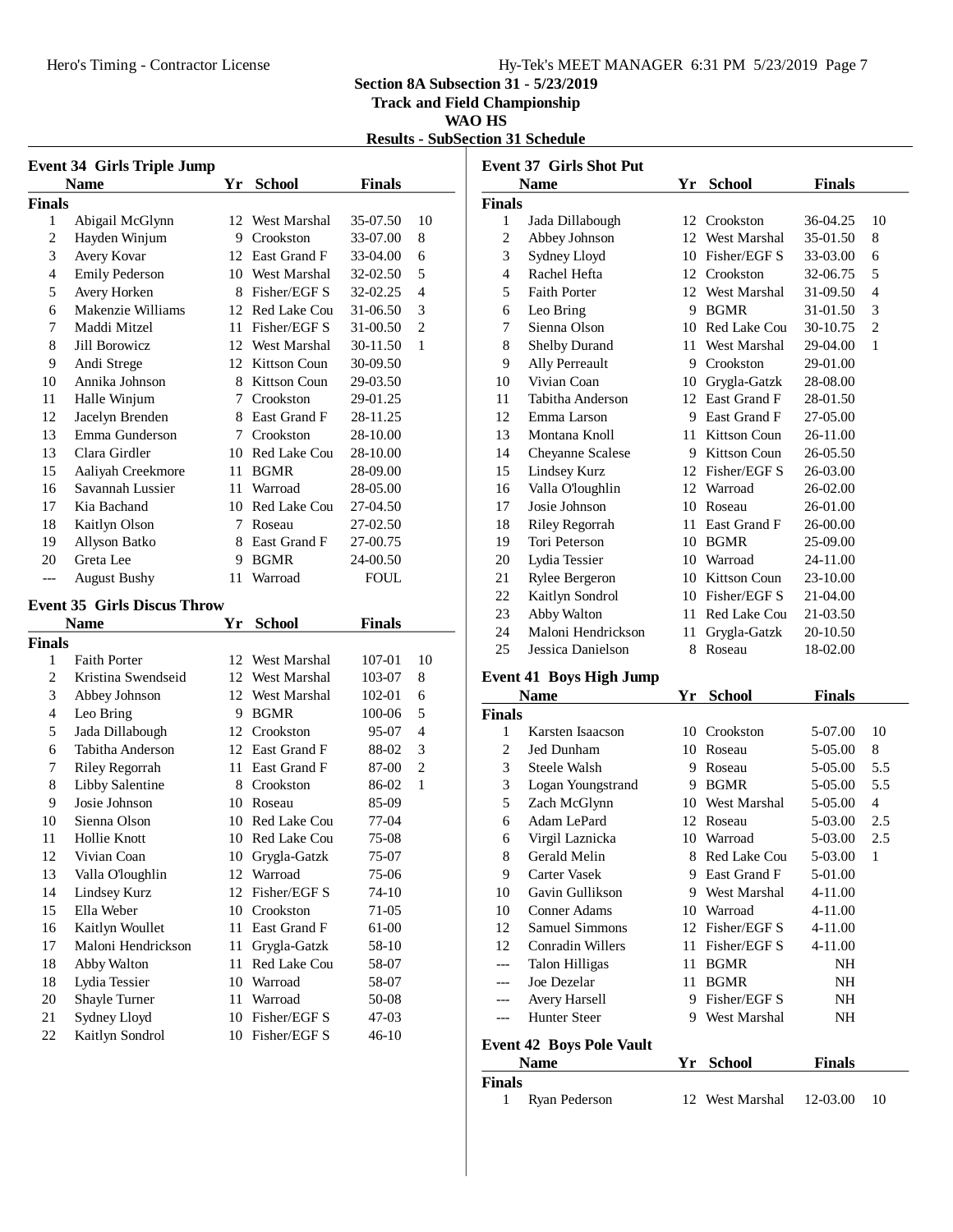### Hero's Timing - Contractor License Hy-Tek's MEET MANAGER 6:31 PM 5/23/2019 Page 7

**Section 8A Subsection 31 - 5/23/2019**

**Track and Field Championship**

**WAO HS**

**Results - SubSection 31 Schedule**

|                | <b>Event 34 Girls Triple Jump</b>  |    |                              |                      |                |
|----------------|------------------------------------|----|------------------------------|----------------------|----------------|
|                | <b>Name</b>                        |    | Yr School                    | <b>Finals</b>        |                |
| <b>Finals</b>  |                                    |    |                              |                      |                |
| 1              | Abigail McGlynn                    |    | 12 West Marshal              | 35-07.50             | 10             |
| $\overline{c}$ | Hayden Winjum                      |    | 9 Crookston                  | 33-07.00             | 8              |
| 3              | Avery Kovar                        |    | 12 East Grand F              | 33-04.00             | 6              |
| $\overline{4}$ | <b>Emily Pederson</b>              |    | 10 West Marshal              | 32-02.50             | 5              |
| 5              | Avery Horken                       |    | 8 Fisher/EGF S               | 32-02.25             | 4              |
| 6              | Makenzie Williams                  |    | 12 Red Lake Cou              | 31-06.50             | 3              |
| 7              | Maddi Mitzel                       |    | 11 Fisher/EGF S              | 31-00.50             | $\overline{c}$ |
| 8              | Jill Borowicz                      |    | 12 West Marshal              | 30-11.50             | 1              |
| 9              | Andi Strege                        |    | 12 Kittson Coun              | 30-09.50             |                |
| 10             | Annika Johnson                     |    | 8 Kittson Coun               | 29-03.50             |                |
| 11             | Halle Winjum                       |    | 7 Crookston                  | 29-01.25             |                |
| 12             | Jacelyn Brenden                    |    | 8 East Grand F               | 28-11.25             |                |
| 13             | Emma Gunderson                     |    | 7 Crookston                  | 28-10.00             |                |
| 13             | Clara Girdler                      |    | 10 Red Lake Cou              | 28-10.00             |                |
| 15             | Aaliyah Creekmore                  |    | 11 BGMR                      | 28-09.00             |                |
| 16             | Savannah Lussier                   |    | 11 Warroad                   | 28-05.00             |                |
| 17             | Kia Bachand                        |    | 10 Red Lake Cou              | 27-04.50             |                |
| 18             | Kaitlyn Olson                      | 7  | Roseau                       | 27-02.50             |                |
| 19             | Allyson Batko                      |    | 8 East Grand F               | 27-00.75             |                |
| 20             | Greta Lee                          | 9  | BGMR                         | 24-00.50             |                |
| ---            | <b>August Bushy</b>                | 11 | Warroad                      | <b>FOUL</b>          |                |
|                | <b>Event 35 Girls Discus Throw</b> |    |                              |                      |                |
|                |                                    |    |                              |                      |                |
|                |                                    |    |                              |                      |                |
|                | <b>Name</b>                        | Yr | <b>School</b>                | <b>Finals</b>        |                |
| Finals<br>1    | <b>Faith Porter</b>                |    | 12 West Marshal              | 107-01               | 10             |
| $\overline{c}$ | Kristina Swendseid                 |    | 12 West Marshal              | 103-07               | 8              |
| 3              |                                    |    | 12 West Marshal              | 102-01               | 6              |
| 4              | Abbey Johnson<br>Leo Bring         | 9. | BGMR                         | 100-06               | 5              |
| 5              | Jada Dillabough                    |    | 12 Crookston                 | 95-07                | 4              |
| 6              | Tabitha Anderson                   |    | 12 East Grand F              | 88-02                | 3              |
| 7              | Riley Regorrah                     |    | 11 East Grand F              | 87-00                | 2              |
| 8              | Libby Salentine                    |    | 8 Crookston                  | 86-02                | $\mathbf{1}$   |
| 9              | Josie Johnson                      |    | 10 Roseau                    | 85-09                |                |
| 10             | Sienna Olson                       |    | 10 Red Lake Cou              | 77-04                |                |
| 11             | <b>Hollie Knott</b>                |    | 10 Red Lake Cou              | 75-08                |                |
| 12             | Vivian Coan                        |    | 10 Grygla-Gatzk              | 75-07                |                |
| 13             | Valla O'loughlin                   |    | 12 Warroad                   | 75-06                |                |
| 14             | Lindsey Kurz                       | 12 | Fisher/EGF S                 | 74-10                |                |
| 15             | Ella Weber                         |    | 10 Crookston                 | 71-05                |                |
| 16             | Kaitlyn Woullet                    | 11 | East Grand F                 | 61-00                |                |
| 17             | Maloni Hendrickson                 | 11 | Grygla-Gatzk                 | 58-10                |                |
| 18             | Abby Walton                        | 11 | Red Lake Cou                 | 58-07                |                |
| 18             | Lydia Tessier                      | 10 | Warroad                      | 58-07                |                |
| 20             | Shayle Turner                      | 11 | Warroad                      | 50-08                |                |
| 21<br>22       | Sydney Lloyd<br>Kaitlyn Sondrol    | 10 | Fisher/EGF S<br>Fisher/EGF S | $47 - 03$<br>$46-10$ |                |

|                | <b>Event 37 Girls Shot Put</b> |     |               |               |                          |
|----------------|--------------------------------|-----|---------------|---------------|--------------------------|
|                | <b>Name</b>                    | Yr  | <b>School</b> | <b>Finals</b> |                          |
| <b>Finals</b>  |                                |     |               |               |                          |
| 1              | Jada Dillabough                | 12  | Crookston     | $36-04.25$    | 10                       |
| 2              | Abbey Johnson                  | 12  | West Marshal  | 35-01.50      | 8                        |
| 3              | Sydney Lloyd                   | 10  | Fisher/EGF S  | 33-03.00      | 6                        |
| $\overline{4}$ | Rachel Hefta                   | 12  | Crookston     | 32-06.75      | 5                        |
| 5              | <b>Faith Porter</b>            | 12. | West Marshal  | 31-09.50      | $\overline{\mathcal{L}}$ |
| 6              | Leo Bring                      | 9   | <b>BGMR</b>   | 31-01.50      | 3                        |
| 7              | Sienna Olson                   | 10  | Red Lake Cou  | 30-10.75      | $\overline{c}$           |
| 8              | Shelby Durand                  | 11  | West Marshal  | 29-04.00      | 1                        |
| 9              | <b>Ally Perreault</b>          | 9   | Crookston     | 29-01.00      |                          |
| 10             | Vivian Coan                    | 10  | Grygla-Gatzk  | 28-08.00      |                          |
| 11             | Tabitha Anderson               | 12. | East Grand F  | 28-01.50      |                          |
| 12             | Emma Larson                    | 9   | East Grand F  | 27-05.00      |                          |
| 13             | Montana Knoll                  | 11  | Kittson Coun  | $26 - 11.00$  |                          |
| 14             | Cheyanne Scalese               | 9   | Kittson Coun  | 26-05.50      |                          |
| 15             | Lindsey Kurz                   | 12  | Fisher/EGF S  | 26-03.00      |                          |
| 16             | Valla O'loughlin               | 12. | Warroad       | 26-02.00      |                          |
| 17             | Josie Johnson                  | 10  | Roseau        | 26-01.00      |                          |
| 18             | <b>Riley Regorrah</b>          | 11  | East Grand F  | 26-00.00      |                          |
| 19             | Tori Peterson                  | 10  | <b>BGMR</b>   | 25-09.00      |                          |
| 20             | Lydia Tessier                  | 10  | Warroad       | 24-11.00      |                          |
| 21             | Rylee Bergeron                 | 10  | Kittson Coun  | 23-10.00      |                          |
| 22             | Kaitlyn Sondrol                | 10  | Fisher/EGF S  | 21-04.00      |                          |
| 23             | Abby Walton                    | 11  | Red Lake Cou  | 21-03.50      |                          |
| 24             | Maloni Hendrickson             | 11  | Grygla-Gatzk  | 20-10.50      |                          |
| 25             | Jessica Danielson              | 8   | Roseau        | 18-02.00      |                          |

### **Event 41 Boys High Jump**

| <b>Name</b>   |                                 | Yr | <b>School</b> | Finals  |     |
|---------------|---------------------------------|----|---------------|---------|-----|
| <b>Finals</b> |                                 |    |               |         |     |
| 1             | Karsten Isaacson                | 10 | Crookston     | 5-07.00 | 10  |
| 2             | Jed Dunham                      | 10 | Roseau        | 5-05.00 | 8   |
| 3             | Steele Walsh                    | 9  | Roseau        | 5-05.00 | 5.5 |
| 3             | Logan Youngstrand               | 9  | <b>BGMR</b>   | 5-05.00 | 5.5 |
| 5             | Zach McGlynn                    | 10 | West Marshal  | 5-05.00 | 4   |
| 6             | Adam LePard                     | 12 | Roseau        | 5-03.00 | 2.5 |
| 6             | Virgil Laznicka                 | 10 | Warroad       | 5-03.00 | 2.5 |
| 8             | Gerald Melin                    | 8  | Red Lake Cou  | 5-03.00 | 1   |
| 9             | Carter Vasek                    | 9  | East Grand F  | 5-01.00 |     |
| 10            | Gavin Gullikson                 | 9  | West Marshal  | 4-11.00 |     |
| 10            | Conner Adams                    | 10 | Warroad       | 4-11.00 |     |
| 12            | Samuel Simmons                  | 12 | Fisher/EGF S  | 4-11.00 |     |
| 12            | Conradin Willers                | 11 | Fisher/EGF S  | 4-11.00 |     |
|               | Talon Hilligas                  | 11 | <b>BGMR</b>   | NH      |     |
| ---           | Joe Dezelar                     | 11 | <b>BGMR</b>   | NH      |     |
|               | <b>Avery Harsell</b>            | 9  | Fisher/EGF S  | NH      |     |
| ---           | <b>Hunter Steer</b>             | 9  | West Marshal  | NH      |     |
|               | <b>Event 42 Boys Pole Vault</b> |    |               |         |     |
|               | Name                            | Vr | School        | Finale  |     |

|               | гуание        | 11 эснол                 | гшаю |    |  |
|---------------|---------------|--------------------------|------|----|--|
| <b>Finals</b> |               |                          |      |    |  |
|               | Ryan Pederson | 12 West Marshal 12-03.00 |      | 10 |  |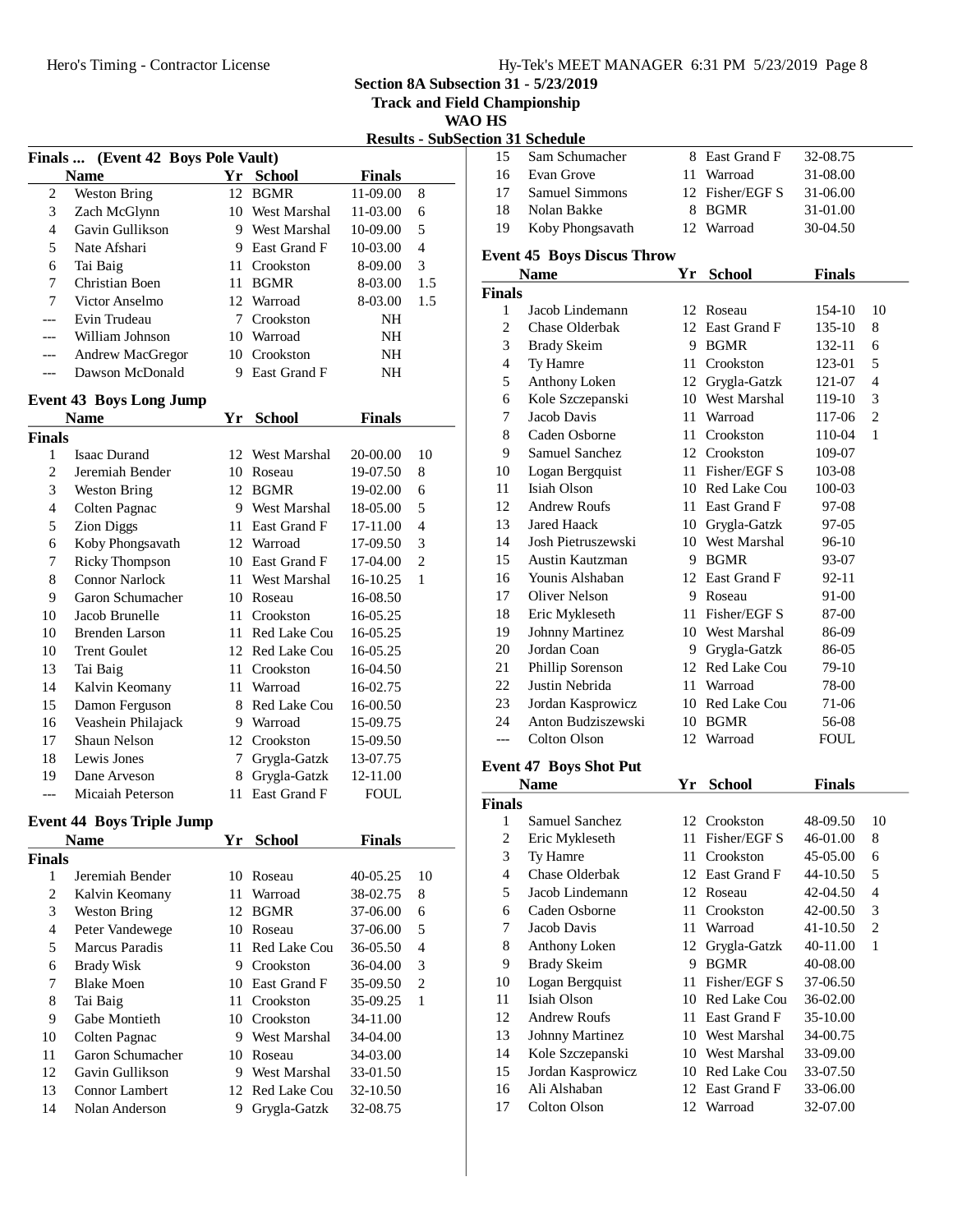**Track and Field Championship**

**WAO HS**

|                |                                    |    |                 |               | <b>Results - SubSection</b> |
|----------------|------------------------------------|----|-----------------|---------------|-----------------------------|
|                | Finals  (Event 42 Boys Pole Vault) |    |                 |               |                             |
|                | <b>Name</b>                        | Yr | <b>School</b>   | <b>Finals</b> |                             |
| 2              | <b>Weston Bring</b>                | 12 | <b>BGMR</b>     | 11-09.00      | 8                           |
| 3              | Zach McGlynn                       |    | 10 West Marshal | 11-03.00      | 6                           |
| $\overline{4}$ | Gavin Gullikson                    |    | 9 West Marshal  | 10-09.00      | 5                           |
| 5              | Nate Afshari                       |    | 9 East Grand F  | 10-03.00      | $\overline{4}$              |
| 6              | Tai Baig                           |    | 11 Crookston    | 8-09.00       | 3                           |
| 7              | Christian Boen                     |    | 11 BGMR         | 8-03.00       | 1.5                         |
| 7              | Victor Anselmo                     |    | 12 Warroad      | 8-03.00       | 1.5                         |
| ---            | Evin Trudeau                       |    | 7 Crookston     | NH            |                             |
|                | William Johnson                    |    | 10 Warroad      | NH            |                             |
| ---            | Andrew MacGregor                   |    | 10 Crookston    | NH            |                             |
| ---            | Dawson McDonald                    |    | 9 East Grand F  | NH            |                             |
|                | <b>Event 43 Boys Long Jump</b>     |    |                 |               |                             |
|                | <b>Name</b>                        | Yr | School          | <b>Finals</b> |                             |
| Finals         |                                    |    |                 |               |                             |
| 1              | <b>Isaac Durand</b>                |    | 12 West Marshal | 20-00.00      | 10                          |
| $\overline{2}$ | Jeremiah Bender                    |    | 10 Roseau       | 19-07.50      | 8                           |
| 3              | <b>Weston Bring</b>                |    | 12 BGMR         | 19-02.00      | 6                           |
| 4              | Colten Pagnac                      |    | 9 West Marshal  | 18-05.00      | 5                           |
| 5              | <b>Zion Diggs</b>                  |    | 11 East Grand F | 17-11.00      | $\overline{4}$              |
| 6              | Koby Phongsavath                   |    | 12 Warroad      | 17-09.50      | 3                           |
| 7              | <b>Ricky Thompson</b>              |    | 10 East Grand F | 17-04.00      | $\overline{2}$              |
| 8              | <b>Connor Narlock</b>              |    | 11 West Marshal | 16-10.25      | 1                           |
| 9              | Garon Schumacher                   |    | 10 Roseau       | 16-08.50      |                             |
| 10             | Jacob Brunelle                     | 11 | Crookston       | 16-05.25      |                             |
| 10             | <b>Brenden Larson</b>              |    | 11 Red Lake Cou | 16-05.25      |                             |
| 10             | <b>Trent Goulet</b>                |    | 12 Red Lake Cou | 16-05.25      |                             |
| 13             | Tai Baig                           |    | 11 Crookston    | 16-04.50      |                             |
| 14             | Kalvin Keomany                     |    | 11 Warroad      | 16-02.75      |                             |
| 15             | Damon Ferguson                     |    | 8 Red Lake Cou  | 16-00.50      |                             |
| 16             | Veashein Philajack                 |    | 9 Warroad       | 15-09.75      |                             |
| 17             | Shaun Nelson                       |    | 12 Crookston    | 15-09.50      |                             |
| 18             | Lewis Jones                        |    | 7 Grygla-Gatzk  | 13-07.75      |                             |
| 19             | Dane Arveson                       | 8  | Grygla-Gatzk    | 12-11.00      |                             |
| $---$          | Micaiah Peterson                   | 11 | East Grand F    | <b>FOUL</b>   |                             |
|                | <b>Event 44 Boys Triple Jump</b>   |    |                 |               |                             |
|                | <b>Name</b>                        | Yr | <b>School</b>   | <b>Finals</b> |                             |
| Finals         |                                    |    |                 |               |                             |
| 1              | Jeremiah Bender                    | 10 | Roseau          | 40-05.25      | 10                          |
| 2              | Kalvin Keomany                     | 11 | Warroad         | 38-02.75      | 8                           |
| 3              | <b>Weston Bring</b>                | 12 | <b>BGMR</b>     | 37-06.00      | 6                           |
| $\overline{4}$ | Peter Vandewege                    |    | 10 Roseau       | 37-06.00      | 5                           |
| 5              | Marcus Paradis                     | 11 | Red Lake Cou    | 36-05.50      | $\overline{\mathcal{L}}$    |
| 6              | <b>Brady Wisk</b>                  |    | 9 Crookston     | 36-04.00      | 3                           |
| 7              | <b>Blake Moen</b>                  |    | 10 East Grand F | 35-09.50      | $\overline{c}$              |
| 8              | Tai Baig                           | 11 | Crookston       | 35-09.25      | 1                           |
| 9              | Gabe Montieth                      |    | 10 Crookston    | 34-11.00      |                             |
| 10             | Colten Pagnac                      |    | 9 West Marshal  | 34-04.00      |                             |
| 11             | Garon Schumacher                   |    | 10 Roseau       | 34-03.00      |                             |
| 12             | Gavin Gullikson                    |    | 9 West Marshal  | 33-01.50      |                             |
| 13             | Connor Lambert                     | 12 | Red Lake Cou    | 32-10.50      |                             |
| 14             | Nolan Anderson                     | 9  | Grygla-Gatzk    | 32-08.75      |                             |
|                |                                    |    |                 |               |                             |

|                         | tion 31 Schedule                  |      |                 |               |                |
|-------------------------|-----------------------------------|------|-----------------|---------------|----------------|
| 15                      | Sam Schumacher                    |      | 8 East Grand F  | 32-08.75      |                |
| 16                      | Evan Grove                        | 11 - | Warroad         | 31-08.00      |                |
| 17                      | <b>Samuel Simmons</b>             |      | 12 Fisher/EGF S | 31-06.00      |                |
| 18                      | Nolan Bakke                       | 8    | BGMR            | 31-01.00      |                |
| 19                      | Koby Phongsavath                  | 12   | Warroad         | 30-04.50      |                |
|                         | <b>Event 45 Boys Discus Throw</b> |      |                 |               |                |
|                         | <b>Name</b>                       | Yr   | <b>School</b>   | <b>Finals</b> |                |
| <b>Finals</b>           |                                   |      |                 |               |                |
| 1                       | Jacob Lindemann                   |      | 12 Roseau       | 154-10        | 10             |
| 2                       | Chase Olderbak                    |      | 12 East Grand F | 135-10        | 8              |
| 3                       | <b>Brady Skeim</b>                |      | 9 BGMR          | 132-11        | 6              |
| $\overline{4}$          | Ty Hamre                          |      | 11 Crookston    | 123-01        | 5              |
| 5                       | Anthony Loken                     |      | 12 Grygla-Gatzk | 121-07        | 4              |
| 6                       | Kole Szczepanski                  |      | 10 West Marshal | 119-10        | 3              |
| 7                       | Jacob Davis                       |      | 11 Warroad      | 117-06        | 2              |
| 8                       | Caden Osborne                     |      | 11 Crookston    | 110-04        | 1              |
| 9                       | Samuel Sanchez                    |      | 12 Crookston    | 109-07        |                |
| 10                      | Logan Bergquist                   |      | 11 Fisher/EGF S | 103-08        |                |
| 11                      | Isiah Olson                       |      | 10 Red Lake Cou | 100-03        |                |
| 12                      | <b>Andrew Roufs</b>               |      | 11 East Grand F | 97-08         |                |
| 13                      | <b>Jared Haack</b>                |      | 10 Grygla-Gatzk | 97-05         |                |
| 14                      | Josh Pietruszewski                |      | 10 West Marshal | 96-10         |                |
| 15                      | Austin Kautzman                   |      | 9 BGMR          | 93-07         |                |
| 16                      | Younis Alshaban                   |      | 12 East Grand F | 92-11         |                |
| 17                      | Oliver Nelson                     |      | 9 Roseau        | 91-00         |                |
| 18                      | Eric Mykleseth                    |      | 11 Fisher/EGF S | 87-00         |                |
| 19                      | Johnny Martinez                   |      | 10 West Marshal | 86-09         |                |
| 20                      | Jordan Coan                       |      | 9 Grygla-Gatzk  | 86-05         |                |
| 21                      | Phillip Sorenson                  |      | 12 Red Lake Cou | 79-10         |                |
| 22                      | Justin Nebrida                    |      | 11 Warroad      | 78-00         |                |
| 23                      | Jordan Kasprowicz                 |      | 10 Red Lake Cou | 71-06         |                |
| 24                      | Anton Budziszewski                |      | 10 BGMR         | 56-08         |                |
| $---$                   | Colton Olson                      |      | 12 Warroad      | <b>FOUL</b>   |                |
|                         | <b>Event 47 Boys Shot Put</b>     |      |                 |               |                |
|                         | <b>Name</b>                       | Yr   | <b>School</b>   | <b>Finals</b> |                |
| <b>Finals</b>           |                                   |      |                 |               |                |
| 1                       | Samuel Sanchez                    |      | 12 Crookston    | 48-09.50      | 10             |
| $\overline{\mathbf{c}}$ | Eric Mykleseth                    | 11   | Fisher/EGF S    | 46-01.00      | 8              |
| 3                       | Ty Hamre                          | 11   | Crookston       | 45-05.00      | 6              |
| $\overline{4}$          | Chase Olderbak                    |      | 12 East Grand F | 44-10.50      | 5              |
| 5                       | Jacob Lindemann                   |      | 12 Roseau       | 42-04.50      | 4              |
| 6                       | Caden Osborne                     | 11   | Crookston       | 42-00.50      | 3              |
| 7                       | Jacob Davis                       | 11   | Warroad         | 41-10.50      | $\overline{c}$ |
| 8                       | Anthony Loken                     | 12   | Grygla-Gatzk    | 40-11.00      | 1              |
| 9                       | <b>Brady Skeim</b>                | 9    | <b>BGMR</b>     | 40-08.00      |                |
| 10                      | Logan Bergquist                   | 11   | Fisher/EGF S    | 37-06.50      |                |
| 11                      | Isiah Olson                       |      | 10 Red Lake Cou | 36-02.00      |                |
| 12                      | <b>Andrew Roufs</b>               | 11   | East Grand F    | 35-10.00      |                |
| 13                      | Johnny Martinez                   |      | 10 West Marshal | 34-00.75      |                |
| 14                      | Kole Szczepanski                  |      | 10 West Marshal | 33-09.00      |                |
| 15                      | Jordan Kasprowicz                 |      | 10 Red Lake Cou | 33-07.50      |                |
| 16                      | Ali Alshaban                      |      | 12 East Grand F | 33-06.00      |                |
| 17                      | Colton Olson                      |      | 12 Warroad      | 32-07.00      |                |
|                         |                                   |      |                 |               |                |